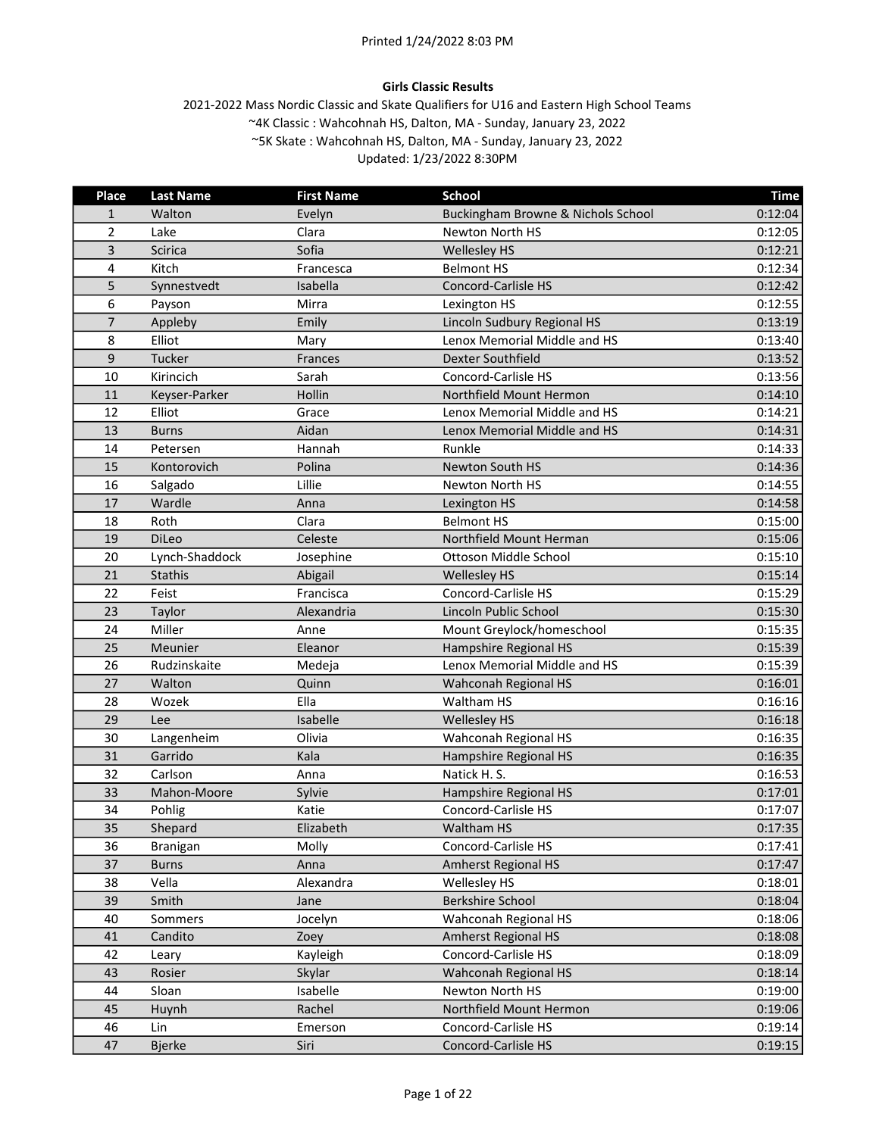# Girls Classic Results

| Place          | <b>Last Name</b> | <b>First Name</b> | <b>School</b>                      | <b>Time</b> |
|----------------|------------------|-------------------|------------------------------------|-------------|
| 1              | Walton           | Evelyn            | Buckingham Browne & Nichols School | 0:12:04     |
| $\overline{2}$ | Lake             | Clara             | Newton North HS                    | 0:12:05     |
| 3              | Scirica          | Sofia             | <b>Wellesley HS</b>                | 0:12:21     |
| 4              | Kitch            | Francesca         | <b>Belmont HS</b>                  | 0:12:34     |
| 5              | Synnestvedt      | Isabella          | <b>Concord-Carlisle HS</b>         | 0:12:42     |
| 6              | Payson           | Mirra             | Lexington HS                       | 0:12:55     |
| $\overline{7}$ | Appleby          | Emily             | Lincoln Sudbury Regional HS        | 0:13:19     |
| 8              | Elliot           | Mary              | Lenox Memorial Middle and HS       | 0:13:40     |
| 9              | Tucker           | Frances           | Dexter Southfield                  | 0:13:52     |
| 10             | Kirincich        | Sarah             | Concord-Carlisle HS                | 0:13:56     |
| 11             | Keyser-Parker    | Hollin            | Northfield Mount Hermon            | 0:14:10     |
| 12             | Elliot           | Grace             | Lenox Memorial Middle and HS       | 0:14:21     |
| 13             | <b>Burns</b>     | Aidan             | Lenox Memorial Middle and HS       | 0:14:31     |
| 14             | Petersen         | Hannah            | Runkle                             | 0:14:33     |
| 15             | Kontorovich      | Polina            | Newton South HS                    | 0:14:36     |
| 16             | Salgado          | Lillie            | Newton North HS                    | 0:14:55     |
| 17             | Wardle           | Anna              | Lexington HS                       | 0:14:58     |
| 18             | Roth             | Clara             | <b>Belmont HS</b>                  | 0:15:00     |
| 19             | DiLeo            | Celeste           | Northfield Mount Herman            | 0:15:06     |
| 20             | Lynch-Shaddock   | Josephine         | Ottoson Middle School              | 0:15:10     |
| 21             | Stathis          | Abigail           | Wellesley HS                       | 0:15:14     |
| 22             | Feist            | Francisca         | Concord-Carlisle HS                | 0:15:29     |
| 23             | Taylor           | Alexandria        | Lincoln Public School              | 0:15:30     |
| 24             | Miller           | Anne              | Mount Greylock/homeschool          | 0:15:35     |
| 25             | Meunier          | Eleanor           | Hampshire Regional HS              | 0:15:39     |
| 26             | Rudzinskaite     | Medeja            | Lenox Memorial Middle and HS       | 0:15:39     |
| 27             | Walton           | Quinn             | Wahconah Regional HS               | 0:16:01     |
| 28             | Wozek            | Ella              | Waltham HS                         | 0:16:16     |
| 29             | Lee              | Isabelle          | <b>Wellesley HS</b>                | 0:16:18     |
| 30             | Langenheim       | Olivia            | Wahconah Regional HS               | 0:16:35     |
| 31             | Garrido          | Kala              | Hampshire Regional HS              | 0:16:35     |
| 32             | Carlson          | Anna              | Natick H. S.                       | 0:16:53     |
| 33             | Mahon-Moore      | Sylvie            | Hampshire Regional HS              | 0:17:01     |
| 34             | Pohlig           | Katie             | Concord-Carlisle HS                | 0:17:07     |
| 35             | Shepard          | Elizabeth         | Waltham HS                         | 0:17:35     |
| 36             | Branigan         | Molly             | Concord-Carlisle HS                | 0:17:41     |
| 37             | <b>Burns</b>     | Anna              | <b>Amherst Regional HS</b>         | 0:17:47     |
| 38             | Vella            | Alexandra         | Wellesley HS                       | 0:18:01     |
| 39             | Smith            | Jane              | <b>Berkshire School</b>            | 0:18:04     |
| 40             | Sommers          | Jocelyn           | Wahconah Regional HS               | 0:18:06     |
| 41             | Candito          | Zoey              | <b>Amherst Regional HS</b>         | 0:18:08     |
| 42             | Leary            | Kayleigh          | Concord-Carlisle HS                | 0:18:09     |
| 43             | Rosier           | Skylar            | Wahconah Regional HS               | 0:18:14     |
| 44             | Sloan            | Isabelle          | Newton North HS                    | 0:19:00     |
| 45             | Huynh            | Rachel            | Northfield Mount Hermon            | 0:19:06     |
| 46             | Lin              | Emerson           | Concord-Carlisle HS                | 0:19:14     |
| 47             | <b>Bjerke</b>    | Siri              | Concord-Carlisle HS                | 0:19:15     |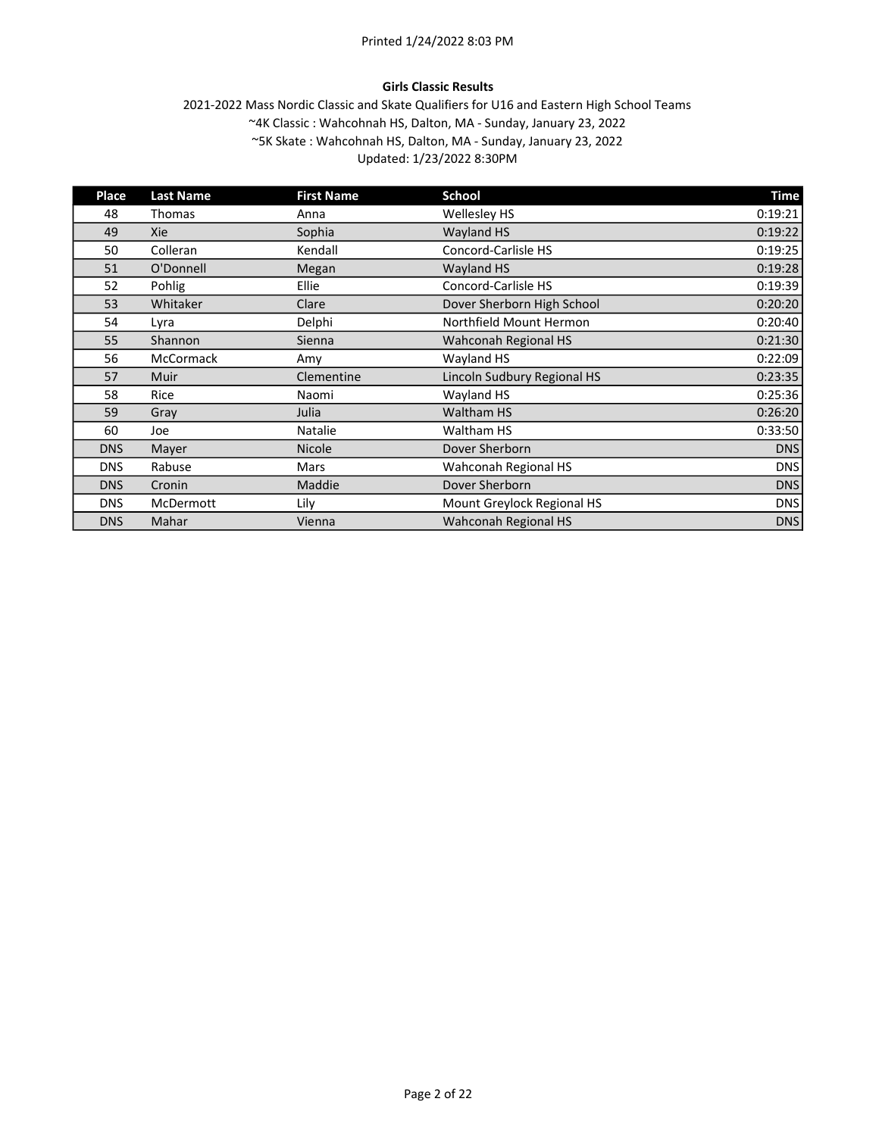# Girls Classic Results

| Place      | <b>Last Name</b> | <b>First Name</b> | School                      | <b>Time</b> |
|------------|------------------|-------------------|-----------------------------|-------------|
| 48         | Thomas           | Anna              | <b>Wellesley HS</b>         | 0:19:21     |
| 49         | Xie              | Sophia            | Wayland HS                  | 0:19:22     |
| 50         | Colleran         | Kendall           | Concord-Carlisle HS         | 0:19:25     |
| 51         | O'Donnell        | Megan             | Wayland HS                  | 0:19:28     |
| 52         | Pohlig           | Ellie             | Concord-Carlisle HS         | 0:19:39     |
| 53         | Whitaker         | Clare             | Dover Sherborn High School  | 0:20:20     |
| 54         | Lyra             | Delphi            | Northfield Mount Hermon     | 0:20:40     |
| 55         | Shannon          | Sienna            | Wahconah Regional HS        | 0:21:30     |
| 56         | <b>McCormack</b> | Amy               | Wayland HS                  | 0:22:09     |
| 57         | <b>Muir</b>      | Clementine        | Lincoln Sudbury Regional HS | 0:23:35     |
| 58         | Rice             | Naomi             | Wayland HS                  | 0:25:36     |
| 59         | Gray             | Julia             | <b>Waltham HS</b>           | 0:26:20     |
| 60         | Joe              | Natalie           | Waltham HS                  | 0:33:50     |
| <b>DNS</b> | Mayer            | <b>Nicole</b>     | Dover Sherborn              | <b>DNS</b>  |
| <b>DNS</b> | Rabuse           | Mars              | Wahconah Regional HS        | <b>DNS</b>  |
| <b>DNS</b> | Cronin           | Maddie            | Dover Sherborn              | <b>DNS</b>  |
| <b>DNS</b> | McDermott        | Lily              | Mount Greylock Regional HS  | <b>DNS</b>  |
| <b>DNS</b> | Mahar            | Vienna            | Wahconah Regional HS        | <b>DNS</b>  |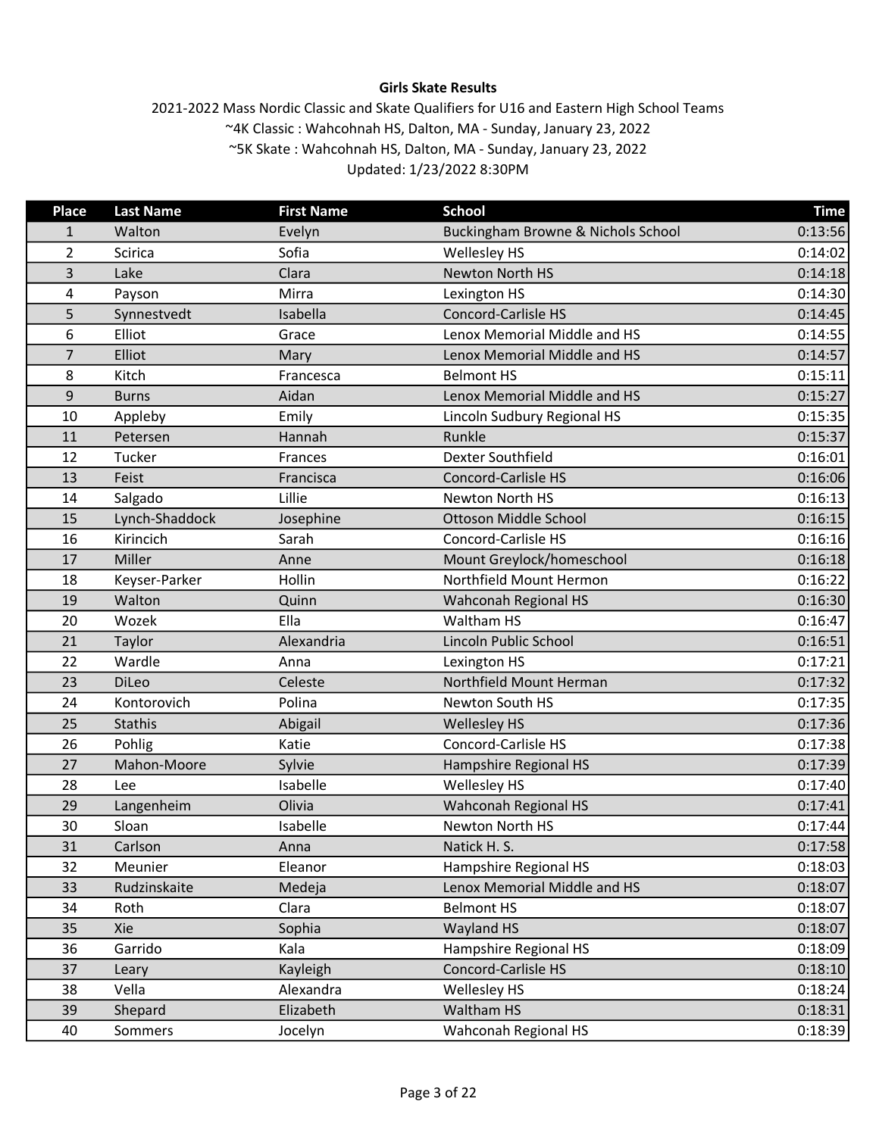# Girls Skate Results

| <b>Place</b>   | <b>Last Name</b> | <b>First Name</b> | <b>School</b>                      | <b>Time</b> |
|----------------|------------------|-------------------|------------------------------------|-------------|
| 1              | Walton           | Evelyn            | Buckingham Browne & Nichols School | 0:13:56     |
| $\overline{2}$ | Scirica          | Sofia             | Wellesley HS                       | 0:14:02     |
| 3              | Lake             | Clara             | Newton North HS                    | 0:14:18     |
| 4              | Payson           | Mirra             | Lexington HS                       | 0:14:30     |
| 5              | Synnestvedt      | Isabella          | Concord-Carlisle HS                | 0:14:45     |
| 6              | Elliot           | Grace             | Lenox Memorial Middle and HS       | 0:14:55     |
| 7              | Elliot           | Mary              | Lenox Memorial Middle and HS       | 0:14:57     |
| 8              | Kitch            | Francesca         | <b>Belmont HS</b>                  | 0:15:11     |
| $9\,$          | <b>Burns</b>     | Aidan             | Lenox Memorial Middle and HS       | 0:15:27     |
| 10             | Appleby          | Emily             | Lincoln Sudbury Regional HS        | 0:15:35     |
| 11             | Petersen         | Hannah            | Runkle                             | 0:15:37     |
| 12             | Tucker           | Frances           | Dexter Southfield                  | 0:16:01     |
| 13             | Feist            | Francisca         | Concord-Carlisle HS                | 0:16:06     |
| 14             | Salgado          | Lillie            | Newton North HS                    | 0:16:13     |
| 15             | Lynch-Shaddock   | Josephine         | Ottoson Middle School              | 0:16:15     |
| 16             | Kirincich        | Sarah             | Concord-Carlisle HS                | 0:16:16     |
| 17             | Miller           | Anne              | Mount Greylock/homeschool          | 0:16:18     |
| 18             | Keyser-Parker    | <b>Hollin</b>     | Northfield Mount Hermon            | 0:16:22     |
| 19             | Walton           | Quinn             | Wahconah Regional HS               | 0:16:30     |
| 20             | Wozek            | Ella              | Waltham HS                         | 0:16:47     |
| 21             | Taylor           | Alexandria        | Lincoln Public School              | 0:16:51     |
| 22             | Wardle           | Anna              | Lexington HS                       | 0:17:21     |
| 23             | DiLeo            | Celeste           | Northfield Mount Herman            | 0:17:32     |
| 24             | Kontorovich      | Polina            | Newton South HS                    | 0:17:35     |
| 25             | <b>Stathis</b>   | Abigail           | <b>Wellesley HS</b>                | 0:17:36     |
| 26             | Pohlig           | Katie             | Concord-Carlisle HS                | 0:17:38     |
| 27             | Mahon-Moore      | Sylvie            | Hampshire Regional HS              | 0:17:39     |
| 28             | Lee              | Isabelle          | Wellesley HS                       | 0:17:40     |
| 29             | Langenheim       | Olivia            | Wahconah Regional HS               | 0:17:41     |
| 30             | Sloan            | Isabelle          | Newton North HS                    | 0:17:44     |
| 31             | Carlson          | Anna              | Natick H. S.                       | 0:17:58     |
| 32             | Meunier          | Eleanor           | Hampshire Regional HS              | 0:18:03     |
| 33             | Rudzinskaite     | Medeja            | Lenox Memorial Middle and HS       | 0:18:07     |
| 34             | Roth             | Clara             | <b>Belmont HS</b>                  | 0:18:07     |
| 35             | Xie              | Sophia            | Wayland HS                         | 0:18:07     |
| 36             | Garrido          | Kala              | Hampshire Regional HS              | 0:18:09     |
| 37             | Leary            | Kayleigh          | Concord-Carlisle HS                | 0:18:10     |
| 38             | Vella            | Alexandra         | Wellesley HS                       | 0:18:24     |
| 39             | Shepard          | Elizabeth         | Waltham HS                         | 0:18:31     |
| 40             | Sommers          | Jocelyn           | Wahconah Regional HS               | 0:18:39     |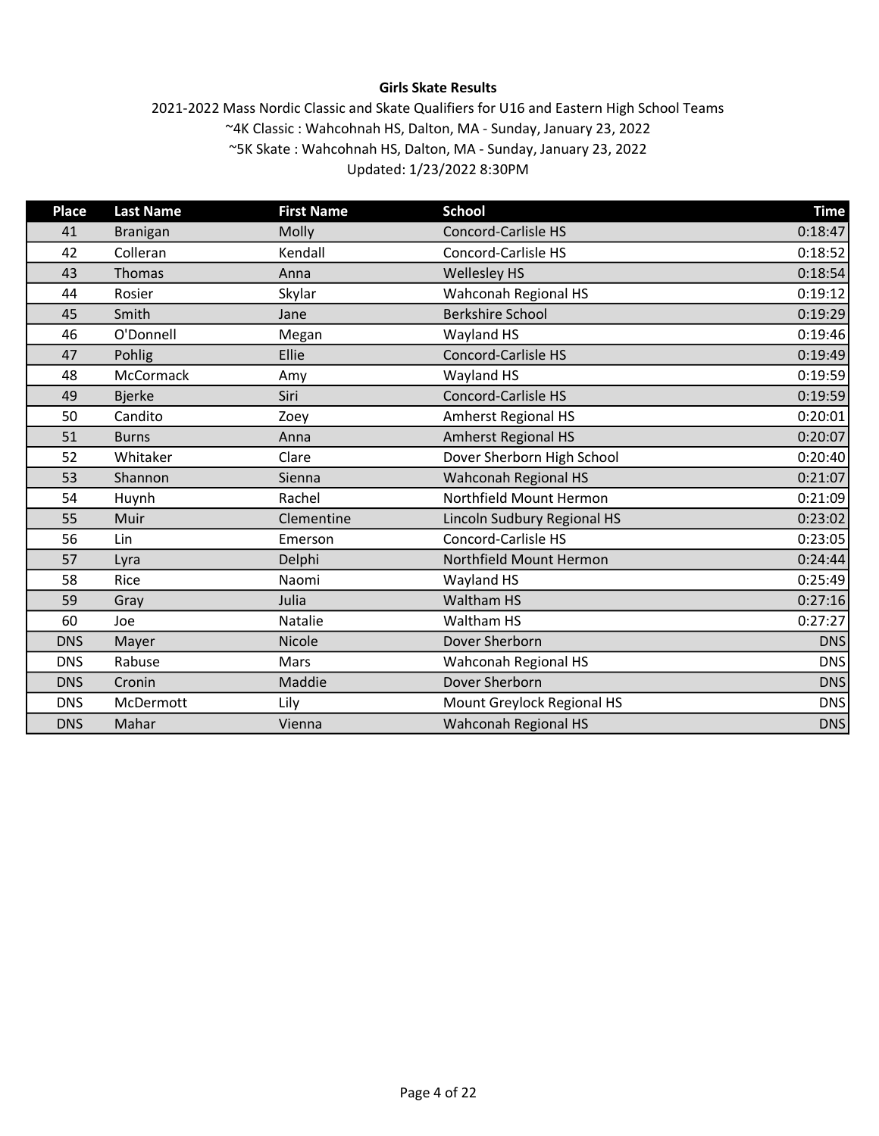# Girls Skate Results

| <b>Place</b> | <b>Last Name</b> | <b>First Name</b> | <b>School</b>               | <b>Time</b> |
|--------------|------------------|-------------------|-----------------------------|-------------|
| 41           | <b>Branigan</b>  | Molly             | <b>Concord-Carlisle HS</b>  | 0:18:47     |
| 42           | Colleran         | Kendall           | <b>Concord-Carlisle HS</b>  | 0:18:52     |
| 43           | Thomas           | Anna              | <b>Wellesley HS</b>         | 0:18:54     |
| 44           | Rosier           | Skylar            | Wahconah Regional HS        | 0:19:12     |
| 45           | Smith            | Jane              | <b>Berkshire School</b>     | 0:19:29     |
| 46           | O'Donnell        | Megan             | Wayland HS                  | 0:19:46     |
| 47           | Pohlig           | Ellie             | <b>Concord-Carlisle HS</b>  | 0:19:49     |
| 48           | McCormack        | Amy               | Wayland HS                  | 0:19:59     |
| 49           | <b>Bjerke</b>    | Siri              | <b>Concord-Carlisle HS</b>  | 0:19:59     |
| 50           | Candito          | Zoey              | <b>Amherst Regional HS</b>  | 0:20:01     |
| 51           | <b>Burns</b>     | Anna              | <b>Amherst Regional HS</b>  | 0:20:07     |
| 52           | Whitaker         | Clare             | Dover Sherborn High School  | 0:20:40     |
| 53           | Shannon          | Sienna            | Wahconah Regional HS        | 0:21:07     |
| 54           | Huynh            | Rachel            | Northfield Mount Hermon     | 0:21:09     |
| 55           | Muir             | Clementine        | Lincoln Sudbury Regional HS | 0:23:02     |
| 56           | Lin              | Emerson           | Concord-Carlisle HS         | 0:23:05     |
| 57           | Lyra             | Delphi            | Northfield Mount Hermon     | 0:24:44     |
| 58           | Rice             | Naomi             | Wayland HS                  | 0:25:49     |
| 59           | Gray             | Julia             | <b>Waltham HS</b>           | 0:27:16     |
| 60           | Joe              | Natalie           | Waltham HS                  | 0:27:27     |
| <b>DNS</b>   | Mayer            | Nicole            | Dover Sherborn              | <b>DNS</b>  |
| <b>DNS</b>   | Rabuse           | Mars              | Wahconah Regional HS        | <b>DNS</b>  |
| <b>DNS</b>   | Cronin           | Maddie            | Dover Sherborn              | <b>DNS</b>  |
| <b>DNS</b>   | McDermott        | Lily              | Mount Greylock Regional HS  | <b>DNS</b>  |
| <b>DNS</b>   | Mahar            | Vienna            | Wahconah Regional HS        | <b>DNS</b>  |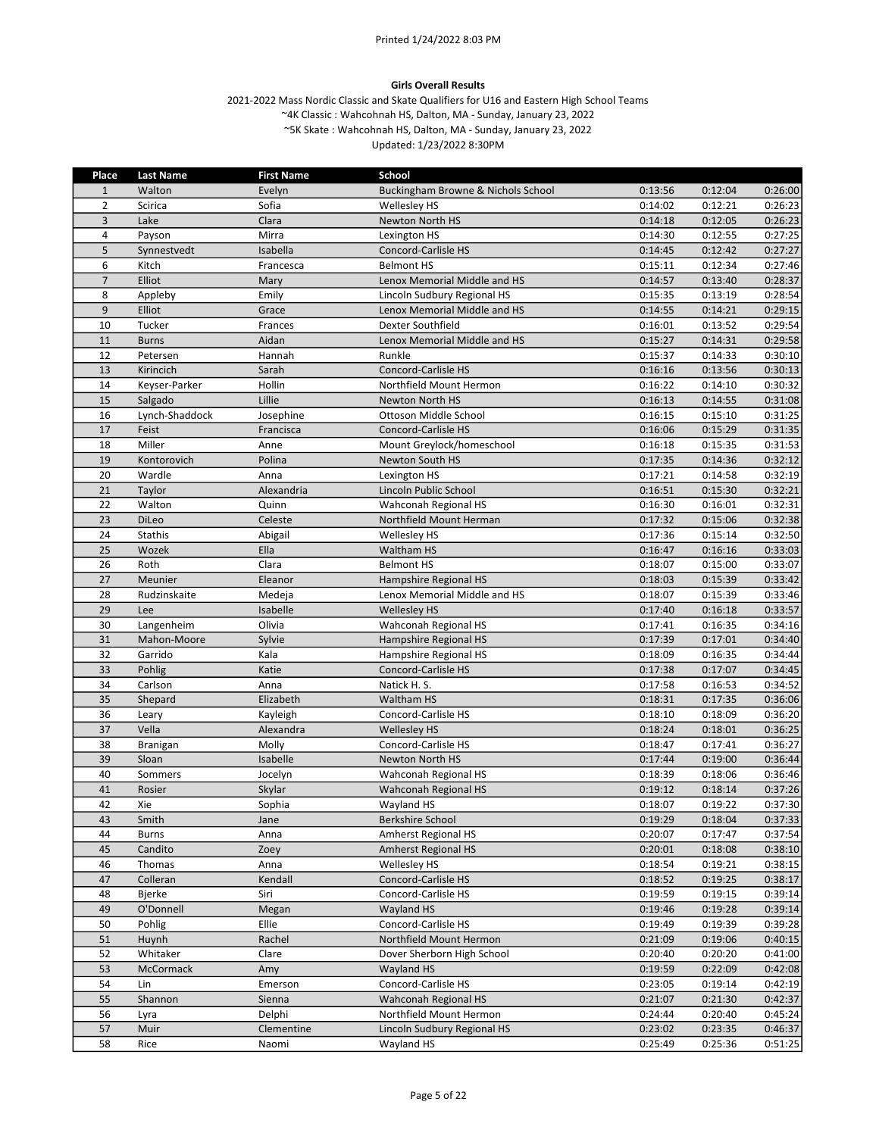#### Girls Overall Results

| Place          | <b>Last Name</b> | <b>First Name</b> | <b>School</b>                      |         |         |         |
|----------------|------------------|-------------------|------------------------------------|---------|---------|---------|
| $\mathbf{1}$   | Walton           | Evelyn            | Buckingham Browne & Nichols School | 0:13:56 | 0:12:04 | 0:26:00 |
| $\overline{2}$ | Scirica          | Sofia             | <b>Wellesley HS</b>                | 0:14:02 | 0:12:21 | 0:26:23 |
| $\overline{3}$ | Lake             | Clara             | Newton North HS                    | 0:14:18 | 0:12:05 | 0:26:23 |
| 4              | Payson           | Mirra             | Lexington HS                       | 0:14:30 | 0:12:55 | 0:27:25 |
| 5              | Synnestvedt      | Isabella          | Concord-Carlisle HS                | 0:14:45 | 0:12:42 | 0:27:27 |
| 6              | Kitch            | Francesca         | <b>Belmont HS</b>                  | 0:15:11 | 0:12:34 | 0:27:46 |
| $\overline{7}$ | Elliot           | Mary              | Lenox Memorial Middle and HS       | 0:14:57 | 0:13:40 | 0:28:37 |
| 8              | Appleby          | Emily             | Lincoln Sudbury Regional HS        | 0:15:35 | 0:13:19 | 0:28:54 |
| $\overline{9}$ | Elliot           | Grace             | Lenox Memorial Middle and HS       | 0:14:55 | 0:14:21 | 0:29:15 |
| 10             | Tucker           | Frances           | Dexter Southfield                  | 0:16:01 | 0:13:52 | 0:29:54 |
| 11             | <b>Burns</b>     | Aidan             | Lenox Memorial Middle and HS       | 0:15:27 | 0:14:31 | 0:29:58 |
| 12             | Petersen         | Hannah            | Runkle                             | 0:15:37 | 0:14:33 | 0:30:10 |
| 13             | Kirincich        | Sarah             | Concord-Carlisle HS                | 0:16:16 | 0:13:56 | 0:30:13 |
| 14             | Keyser-Parker    | Hollin            | Northfield Mount Hermon            | 0:16:22 | 0:14:10 | 0:30:32 |
| 15             | Salgado          | Lillie            | <b>Newton North HS</b>             | 0:16:13 | 0:14:55 | 0:31:08 |
| 16             | Lynch-Shaddock   | Josephine         | Ottoson Middle School              | 0:16:15 | 0:15:10 | 0:31:25 |
| 17             | Feist            | Francisca         | <b>Concord-Carlisle HS</b>         | 0:16:06 | 0:15:29 | 0:31:35 |
| 18             | Miller           | Anne              | Mount Greylock/homeschool          | 0:16:18 | 0:15:35 | 0:31:53 |
| 19             | Kontorovich      | Polina            | <b>Newton South HS</b>             | 0:17:35 | 0:14:36 | 0:32:12 |
| 20             | Wardle           | Anna              | Lexington HS                       | 0:17:21 | 0:14:58 | 0:32:19 |
| 21             | Taylor           | Alexandria        | Lincoln Public School              | 0:16:51 | 0:15:30 | 0:32:21 |
| 22             | Walton           | Quinn             | Wahconah Regional HS               | 0:16:30 | 0:16:01 | 0:32:31 |
| 23             | DiLeo            | Celeste           | Northfield Mount Herman            | 0:17:32 | 0:15:06 | 0:32:38 |
| 24             | Stathis          | Abigail           | <b>Wellesley HS</b>                | 0:17:36 | 0:15:14 | 0:32:50 |
| 25             | Wozek            | Ella              | Waltham HS                         | 0:16:47 | 0:16:16 | 0:33:03 |
| 26             | Roth             | Clara             | <b>Belmont HS</b>                  | 0:18:07 | 0:15:00 | 0:33:07 |
| 27             | Meunier          | Eleanor           | Hampshire Regional HS              | 0:18:03 | 0:15:39 | 0:33:42 |
| 28             | Rudzinskaite     | Medeja            | Lenox Memorial Middle and HS       | 0:18:07 | 0:15:39 | 0:33:46 |
| 29             | Lee              | Isabelle          | <b>Wellesley HS</b>                | 0:17:40 | 0:16:18 | 0:33:57 |
| 30             | Langenheim       | Olivia            | Wahconah Regional HS               | 0:17:41 | 0:16:35 | 0:34:16 |
| 31             | Mahon-Moore      | Sylvie            | Hampshire Regional HS              | 0:17:39 | 0:17:01 | 0:34:40 |
| 32             | Garrido          | Kala              | Hampshire Regional HS              | 0:18:09 | 0:16:35 | 0:34:44 |
| 33             | Pohlig           | Katie             | Concord-Carlisle HS                | 0:17:38 | 0:17:07 | 0:34:45 |
| 34             | Carlson          | Anna              | Natick H. S.                       | 0:17:58 | 0:16:53 | 0:34:52 |
| 35             | Shepard          | Elizabeth         | Waltham HS                         | 0:18:31 | 0:17:35 | 0:36:06 |
| 36             | Leary            | Kayleigh          | Concord-Carlisle HS                | 0:18:10 | 0:18:09 | 0:36:20 |
| 37             | Vella            | Alexandra         | <b>Wellesley HS</b>                | 0:18:24 | 0:18:01 | 0:36:25 |
| 38             | <b>Branigan</b>  | Molly             | Concord-Carlisle HS                | 0:18:47 | 0:17:41 | 0:36:27 |
| 39             | Sloan            | Isabelle          | Newton North HS                    | 0:17:44 | 0:19:00 | 0:36:44 |
| 40             | Sommers          | Jocelyn           | Wahconah Regional HS               | 0:18:39 | 0:18:06 | 0:36:46 |
| 41             | Rosier           | Skylar            | Wahconah Regional HS               | 0:19:12 | 0:18:14 | 0:37:26 |
| 42             | Xie              | Sophia            | Wayland HS                         | 0:18:07 | 0:19:22 | 0:37:30 |
| 43             | Smith            | Jane              | <b>Berkshire School</b>            | 0:19:29 | 0:18:04 | 0:37:33 |
| 44             | <b>Burns</b>     | Anna              | <b>Amherst Regional HS</b>         | 0:20:07 | 0:17:47 | 0:37:54 |
| 45             | Candito          | Zoey              | Amherst Regional HS                | 0:20:01 | 0:18:08 | 0:38:10 |
| 46             | Thomas           | Anna              | Wellesley HS                       | 0:18:54 | 0:19:21 | 0:38:15 |
| 47             | Colleran         | Kendall           | <b>Concord-Carlisle HS</b>         | 0:18:52 | 0:19:25 | 0:38:17 |
| 48             | Bjerke           | Siri              | Concord-Carlisle HS                | 0:19:59 | 0:19:15 | 0:39:14 |
| 49             | O'Donnell        | Megan             | Wayland HS                         | 0:19:46 | 0:19:28 | 0:39:14 |
| 50             | Pohlig           | Ellie             | Concord-Carlisle HS                | 0:19:49 | 0:19:39 | 0:39:28 |
| 51             | Huynh            | Rachel            | Northfield Mount Hermon            | 0:21:09 | 0:19:06 | 0:40:15 |
| 52             | Whitaker         | Clare             | Dover Sherborn High School         | 0:20:40 | 0:20:20 | 0:41:00 |
| 53             | McCormack        | Amy               | Wayland HS                         | 0:19:59 | 0:22:09 | 0:42:08 |
| 54             | Lin              | Emerson           | Concord-Carlisle HS                | 0:23:05 | 0:19:14 | 0:42:19 |
| 55             | Shannon          | Sienna            | Wahconah Regional HS               | 0:21:07 | 0:21:30 | 0:42:37 |
| 56             | Lyra             | Delphi            | Northfield Mount Hermon            | 0:24:44 | 0:20:40 | 0:45:24 |
| 57             | Muir             | Clementine        | Lincoln Sudbury Regional HS        | 0:23:02 | 0:23:35 | 0:46:37 |
| 58             | Rice             | Naomi             | Wayland HS                         | 0:25:49 | 0:25:36 | 0:51:25 |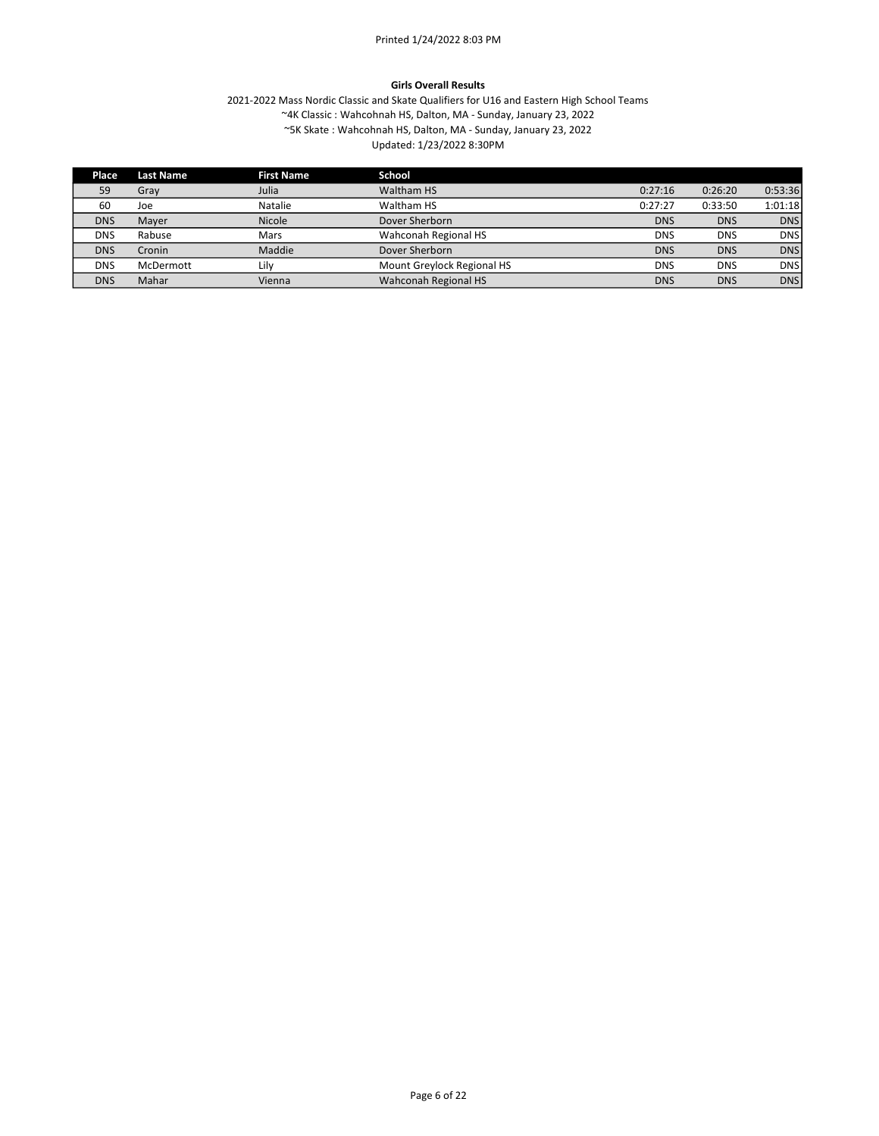#### Girls Overall Results

| Place      | <b>Last Name</b> | <b>First Name</b> | School                     |            |            |            |
|------------|------------------|-------------------|----------------------------|------------|------------|------------|
| 59         | Gray             | Julia             | Waltham HS                 | 0:27:16    | 0:26:20    | 0:53:36    |
| 60         | Joe              | Natalie           | Waltham HS                 | 0:27:27    | 0:33:50    | 1:01:18    |
| <b>DNS</b> | Mayer            | Nicole            | Dover Sherborn             | <b>DNS</b> | <b>DNS</b> | <b>DNS</b> |
| <b>DNS</b> | Rabuse           | Mars              | Wahconah Regional HS       | <b>DNS</b> | <b>DNS</b> | <b>DNS</b> |
| <b>DNS</b> | Cronin           | Maddie            | Dover Sherborn             | <b>DNS</b> | <b>DNS</b> | <b>DNS</b> |
| <b>DNS</b> | McDermott        | Lily              | Mount Greylock Regional HS | <b>DNS</b> | <b>DNS</b> | <b>DNS</b> |
| <b>DNS</b> | Mahar            | Vienna            | Wahconah Regional HS       | <b>DNS</b> | <b>DNS</b> | <b>DNS</b> |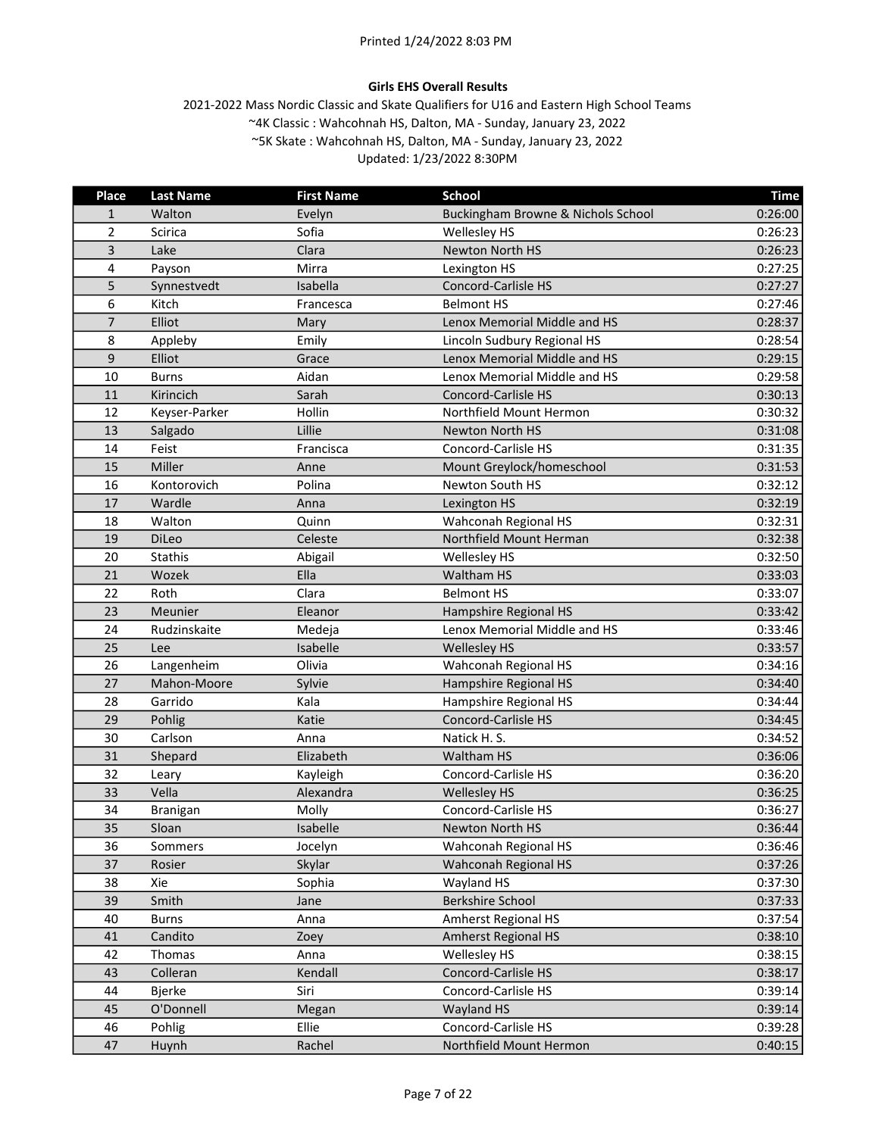# Girls EHS Overall Results

| <b>Place</b>   | <b>Last Name</b> | <b>First Name</b> | <b>School</b>                      | <b>Time</b> |
|----------------|------------------|-------------------|------------------------------------|-------------|
| $\mathbf{1}$   | Walton           | Evelyn            | Buckingham Browne & Nichols School | 0:26:00     |
| $\overline{2}$ | Scirica          | Sofia             | Wellesley HS                       | 0:26:23     |
| 3              | Lake             | Clara             | Newton North HS                    | 0:26:23     |
| 4              | Payson           | Mirra             | Lexington HS                       | 0:27:25     |
| 5              | Synnestvedt      | Isabella          | <b>Concord-Carlisle HS</b>         | 0:27:27     |
| 6              | Kitch            | Francesca         | <b>Belmont HS</b>                  | 0:27:46     |
| $\overline{7}$ | Elliot           | Mary              | Lenox Memorial Middle and HS       | 0:28:37     |
| 8              | Appleby          | Emily             | Lincoln Sudbury Regional HS        | 0:28:54     |
| 9              | Elliot           | Grace             | Lenox Memorial Middle and HS       | 0:29:15     |
| 10             | <b>Burns</b>     | Aidan             | Lenox Memorial Middle and HS       | 0:29:58     |
| 11             | Kirincich        | Sarah             | <b>Concord-Carlisle HS</b>         | 0:30:13     |
| 12             | Keyser-Parker    | Hollin            | Northfield Mount Hermon            | 0:30:32     |
| 13             | Salgado          | Lillie            | <b>Newton North HS</b>             | 0:31:08     |
| 14             | Feist            | Francisca         | Concord-Carlisle HS                | 0:31:35     |
| 15             | Miller           | Anne              | Mount Greylock/homeschool          | 0:31:53     |
| 16             | Kontorovich      | Polina            | Newton South HS                    | 0:32:12     |
| 17             | Wardle           | Anna              | Lexington HS                       | 0:32:19     |
| 18             | Walton           | Quinn             | Wahconah Regional HS               | 0:32:31     |
| 19             | DiLeo            | Celeste           | Northfield Mount Herman            | 0:32:38     |
| 20             | <b>Stathis</b>   | Abigail           | Wellesley HS                       | 0:32:50     |
| 21             | Wozek            | Ella              | Waltham HS                         | 0:33:03     |
| 22             | Roth             | Clara             | <b>Belmont HS</b>                  | 0:33:07     |
| 23             | Meunier          | Eleanor           | Hampshire Regional HS              | 0:33:42     |
| 24             | Rudzinskaite     | Medeja            | Lenox Memorial Middle and HS       | 0:33:46     |
| 25             | Lee              | Isabelle          | <b>Wellesley HS</b>                | 0:33:57     |
| 26             | Langenheim       | Olivia            | Wahconah Regional HS               | 0:34:16     |
| 27             | Mahon-Moore      | Sylvie            | Hampshire Regional HS              | 0:34:40     |
| 28             | Garrido          | Kala              | Hampshire Regional HS              | 0:34:44     |
| 29             | Pohlig           | Katie             | <b>Concord-Carlisle HS</b>         | 0:34:45     |
| 30             | Carlson          | Anna              | Natick H.S.                        | 0:34:52     |
| 31             | Shepard          | Elizabeth         | Waltham HS                         | 0:36:06     |
| 32             | Leary            | Kayleigh          | Concord-Carlisle HS                | 0:36:20     |
| 33             | Vella            | Alexandra         | <b>Wellesley HS</b>                | 0:36:25     |
| 34             | Branigan         | Molly             | Concord-Carlisle HS                | 0:36:27     |
| 35             | Sloan            | Isabelle          | Newton North HS                    | 0:36:44     |
| 36             | Sommers          | Jocelyn           | Wahconah Regional HS               | 0:36:46     |
| 37             | Rosier           | Skylar            | Wahconah Regional HS               | 0:37:26     |
| 38             | Xie              | Sophia            | Wayland HS                         | 0:37:30     |
| 39             | Smith            | Jane              | <b>Berkshire School</b>            | 0:37:33     |
| 40             | <b>Burns</b>     | Anna              | Amherst Regional HS                | 0:37:54     |
| 41             | Candito          | Zoey              | <b>Amherst Regional HS</b>         | 0:38:10     |
| 42             | Thomas           | Anna              | Wellesley HS                       | 0:38:15     |
| 43             | Colleran         | Kendall           | Concord-Carlisle HS                | 0:38:17     |
| 44             | <b>Bjerke</b>    | Siri              | Concord-Carlisle HS                | 0:39:14     |
| 45             | O'Donnell        | Megan             | Wayland HS                         | 0:39:14     |
| 46             | Pohlig           | Ellie             | Concord-Carlisle HS                | 0:39:28     |
| 47             | Huynh            | Rachel            | Northfield Mount Hermon            | 0:40:15     |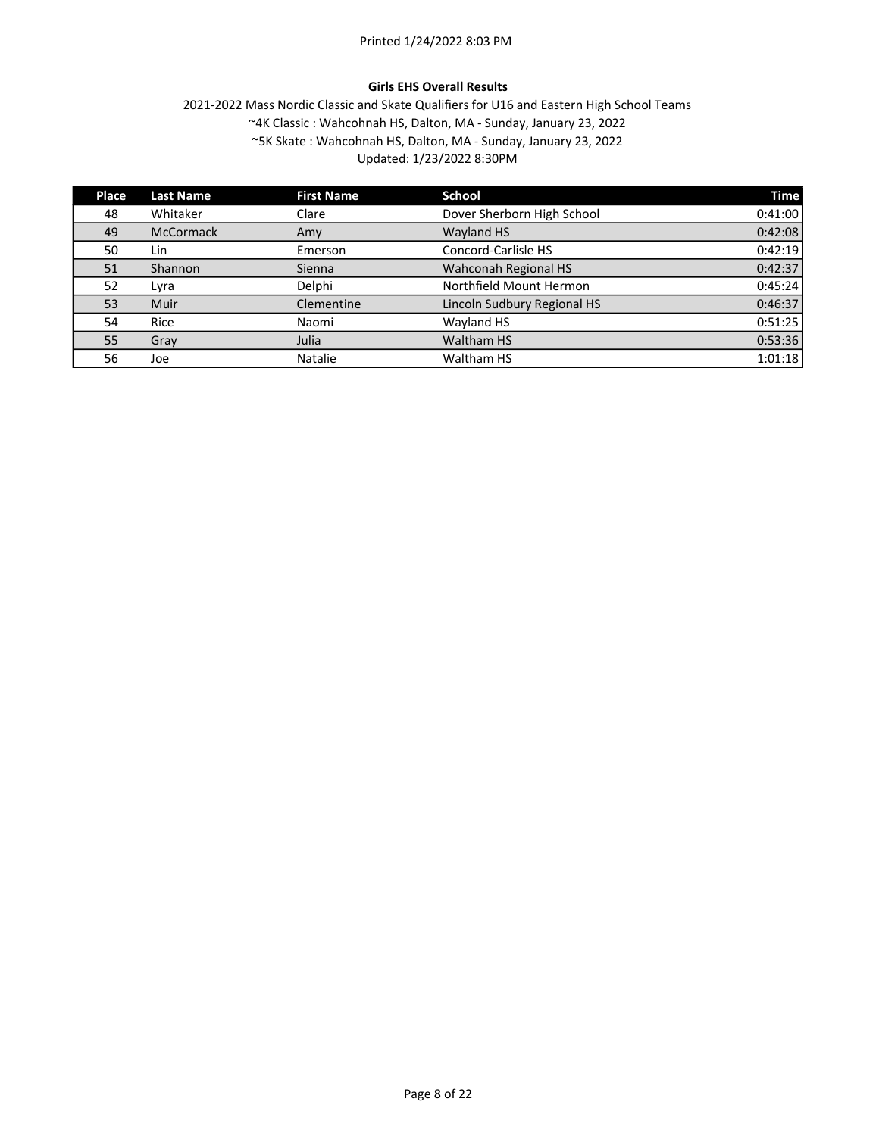# Girls EHS Overall Results

| Place | <b>Last Name</b> | <b>First Name</b> | <b>School</b>               | <b>Time</b> |
|-------|------------------|-------------------|-----------------------------|-------------|
| 48    | Whitaker         | Clare             | Dover Sherborn High School  | 0:41:00     |
| 49    | <b>McCormack</b> | Amy               | Wayland HS                  | 0:42:08     |
| 50    | Lin              | Emerson           | Concord-Carlisle HS         | 0:42:19     |
| 51    | Shannon          | Sienna            | Wahconah Regional HS        | 0:42:37     |
| 52    | Lyra             | Delphi            | Northfield Mount Hermon     | 0:45:24     |
| 53    | Muir             | Clementine        | Lincoln Sudbury Regional HS | 0:46:37     |
| 54    | Rice             | Naomi             | Wayland HS                  | 0:51:25     |
| 55    | Gray             | Julia             | Waltham HS                  | 0:53:36     |
| 56    | Joe              | <b>Natalie</b>    | Waltham HS                  | 1:01:18     |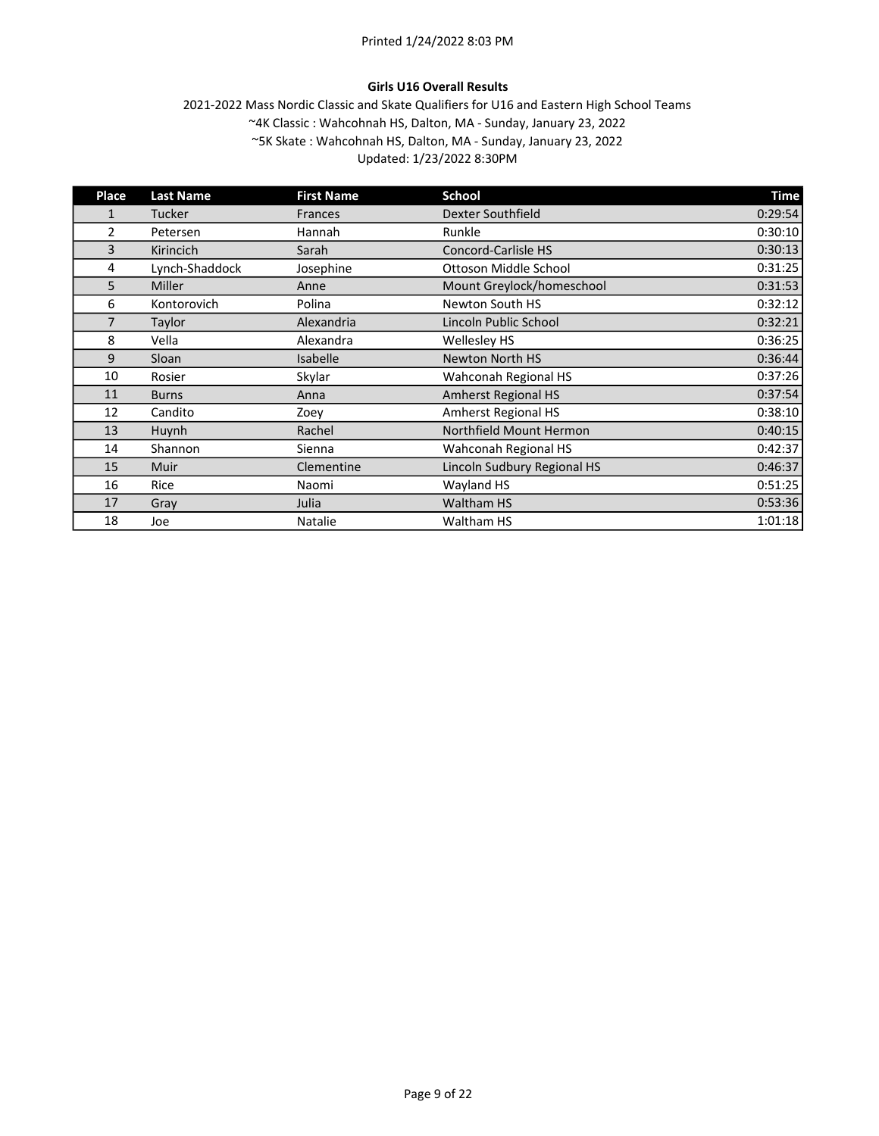# Girls U16 Overall Results

| Place          | <b>Last Name</b> | <b>First Name</b> | School                      | <b>Time</b> |
|----------------|------------------|-------------------|-----------------------------|-------------|
| 1              | <b>Tucker</b>    | <b>Frances</b>    | <b>Dexter Southfield</b>    | 0:29:54     |
| $\overline{2}$ | Petersen         | Hannah            | Runkle                      | 0:30:10     |
| 3              | Kirincich        | Sarah             | Concord-Carlisle HS         | 0:30:13     |
| 4              | Lynch-Shaddock   | Josephine         | Ottoson Middle School       | 0:31:25     |
| 5              | Miller           | Anne              | Mount Greylock/homeschool   | 0:31:53     |
| 6              | Kontorovich      | Polina            | Newton South HS             | 0:32:12     |
| 7              | Taylor           | Alexandria        | Lincoln Public School       | 0:32:21     |
| 8              | Vella            | Alexandra         | <b>Wellesley HS</b>         | 0:36:25     |
| 9              | Sloan            | <b>Isabelle</b>   | <b>Newton North HS</b>      | 0:36:44     |
| 10             | Rosier           | Skylar            | Wahconah Regional HS        | 0:37:26     |
| 11             | <b>Burns</b>     | Anna              | <b>Amherst Regional HS</b>  | 0:37:54     |
| 12             | Candito          | Zoev              | <b>Amherst Regional HS</b>  | 0:38:10     |
| 13             | Huynh            | Rachel            | Northfield Mount Hermon     | 0:40:15     |
| 14             | Shannon          | Sienna            | Wahconah Regional HS        | 0:42:37     |
| 15             | Muir             | Clementine        | Lincoln Sudbury Regional HS | 0:46:37     |
| 16             | Rice             | Naomi             | Wayland HS                  | 0:51:25     |
| 17             | Gray             | Julia             | <b>Waltham HS</b>           | 0:53:36     |
| 18             | Joe              | Natalie           | Waltham HS                  | 1:01:18     |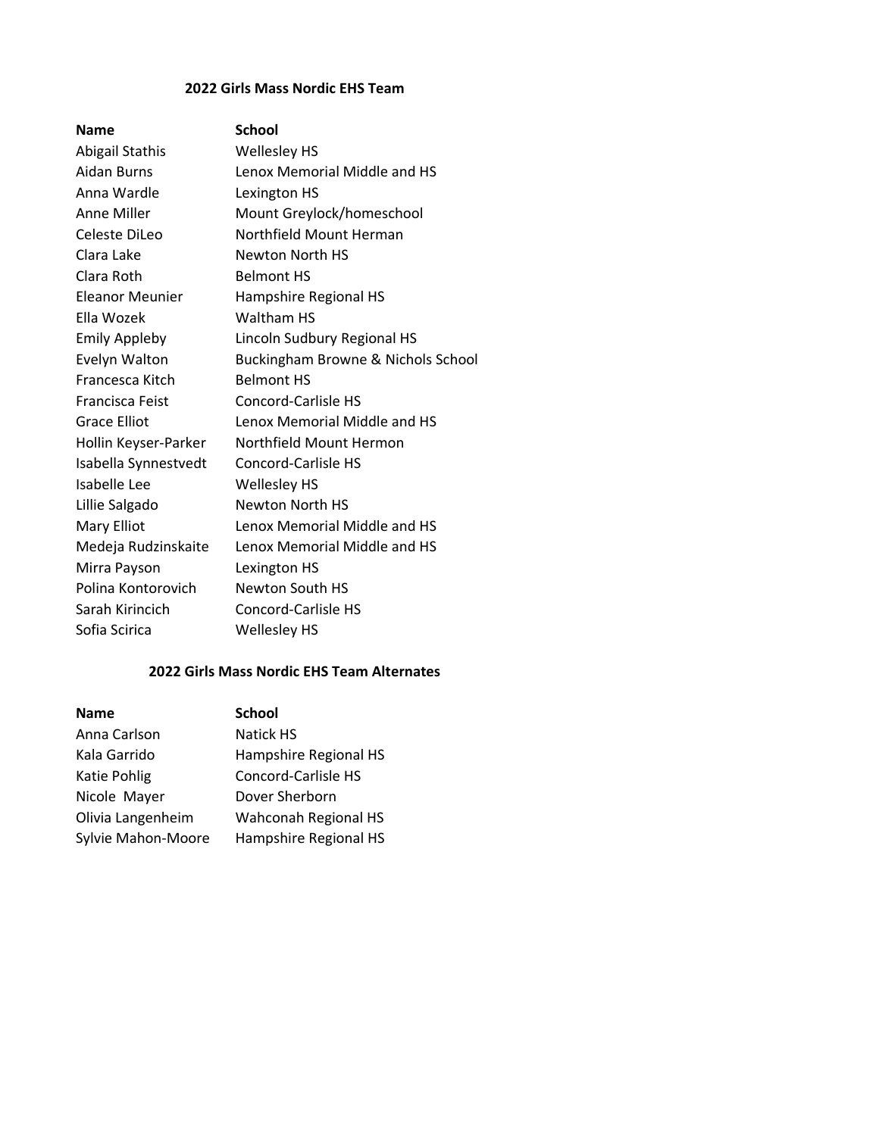# 2022 Girls Mass Nordic EHS Team

# Name School

Abigail Stathis Wellesley HS Aidan Burns Lenox Memorial Middle and HS Anna Wardle Lexington HS Anne Miller Mount Greylock/homeschool Celeste DiLeo Northfield Mount Herman Clara Lake Newton North HS Clara Roth Belmont HS Eleanor Meunier Hampshire Regional HS Ella Wozek Waltham HS Emily Appleby Lincoln Sudbury Regional HS Evelyn Walton Buckingham Browne & Nichols School Francesca Kitch Belmont HS Francisca Feist Concord-Carlisle HS Grace Elliot Lenox Memorial Middle and HS Hollin Keyser-Parker Northfield Mount Hermon Isabella Synnestvedt Concord-Carlisle HS Isabelle Lee Wellesley HS Lillie Salgado Newton North HS Mary Elliot **Lenox Memorial Middle and HS** Medeja Rudzinskaite Lenox Memorial Middle and HS Mirra Payson Lexington HS Polina Kontorovich Newton South HS Sarah Kirincich Concord-Carlisle HS Sofia Scirica Wellesley HS

# 2022 Girls Mass Nordic EHS Team Alternates

| <b>Name</b>        | <b>School</b>         |
|--------------------|-----------------------|
| Anna Carlson       | <b>Natick HS</b>      |
| Kala Garrido       | Hampshire Regional HS |
| Katie Pohlig       | Concord-Carlisle HS   |
| Nicole Mayer       | Dover Sherborn        |
| Olivia Langenheim  | Wahconah Regional HS  |
| Sylvie Mahon-Moore | Hampshire Regional HS |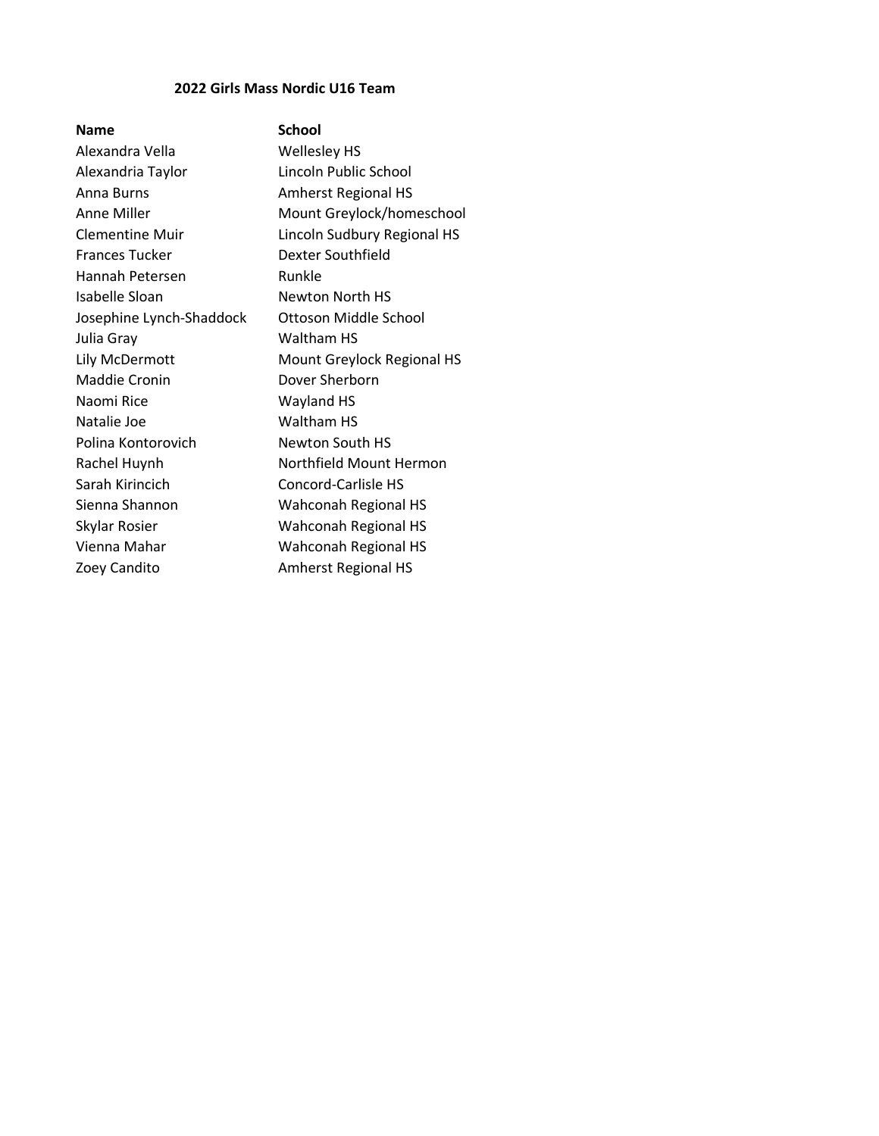# 2022 Girls Mass Nordic U16 Team

| <b>Name</b>              | <b>School</b>               |
|--------------------------|-----------------------------|
| Alexandra Vella          | Wellesley HS                |
| Alexandria Taylor        | Lincoln Public School       |
| Anna Burns               | <b>Amherst Regional HS</b>  |
| Anne Miller              | Mount Greylock/homeschool   |
| <b>Clementine Muir</b>   | Lincoln Sudbury Regional HS |
| <b>Frances Tucker</b>    | Dexter Southfield           |
| Hannah Petersen          | Runkle                      |
| Isabelle Sloan           | Newton North HS             |
| Josephine Lynch-Shaddock | Ottoson Middle School       |
| Julia Gray               | Waltham HS                  |
| Lily McDermott           | Mount Greylock Regional HS  |
| <b>Maddie Cronin</b>     | Dover Sherborn              |
| Naomi Rice               | Wayland HS                  |
| Natalie Joe              | Waltham HS                  |
| Polina Kontorovich       | <b>Newton South HS</b>      |
| Rachel Huynh             | Northfield Mount Hermon     |
| Sarah Kirincich          | Concord-Carlisle HS         |
| Sienna Shannon           | Wahconah Regional HS        |
| Skylar Rosier            | Wahconah Regional HS        |
| Vienna Mahar             | <b>Wahconah Regional HS</b> |
| Zoey Candito             | <b>Amherst Regional HS</b>  |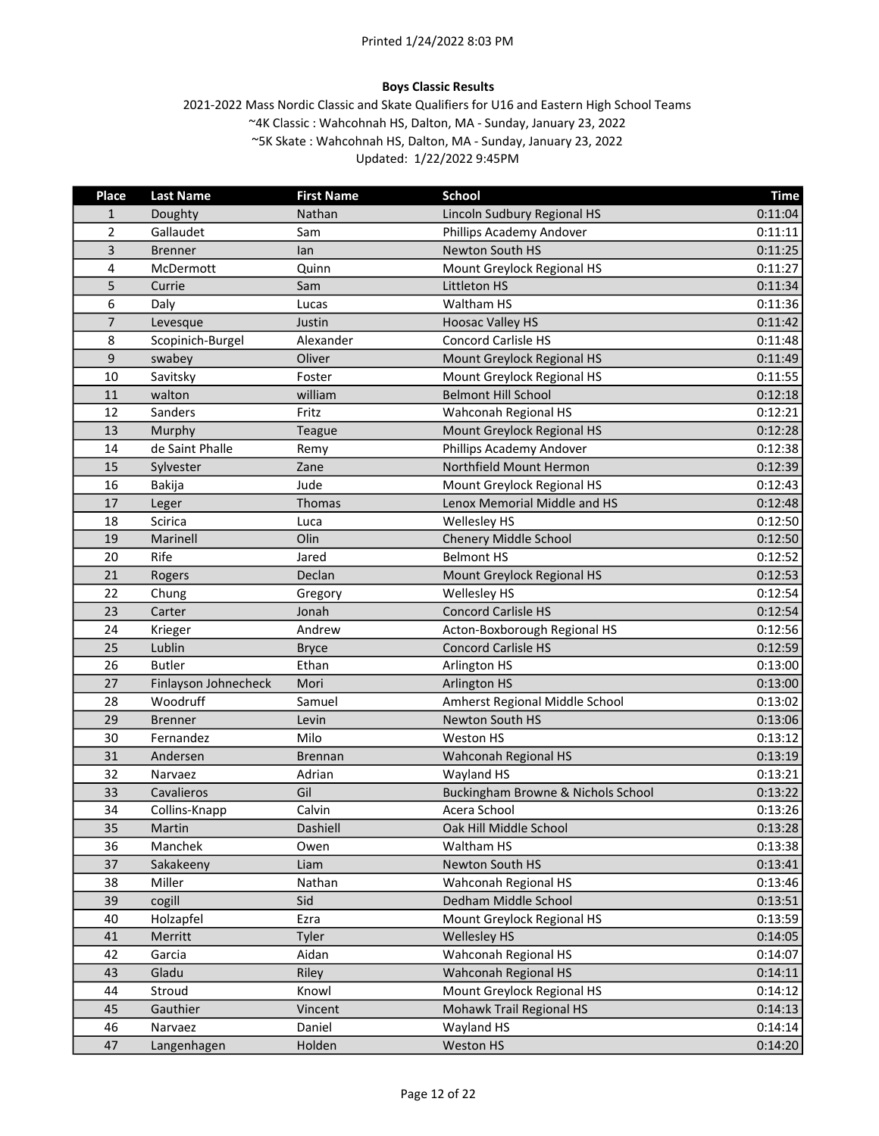# Boys Classic Results

| Place          | <b>Last Name</b>     | <b>First Name</b> | <b>School</b>                      | <b>Time</b> |
|----------------|----------------------|-------------------|------------------------------------|-------------|
| $\mathbf{1}$   | Doughty              | Nathan            | Lincoln Sudbury Regional HS        | 0:11:04     |
| $\overline{2}$ | Gallaudet            | Sam               | Phillips Academy Andover           | 0:11:11     |
| 3              | <b>Brenner</b>       | lan               | Newton South HS                    | 0:11:25     |
| 4              | McDermott            | Quinn             | Mount Greylock Regional HS         | 0:11:27     |
| 5              | Currie               | Sam               | <b>Littleton HS</b>                | 0:11:34     |
| 6              | Daly                 | Lucas             | Waltham HS                         | 0:11:36     |
| $\overline{7}$ | Levesque             | Justin            | <b>Hoosac Valley HS</b>            | 0:11:42     |
| 8              | Scopinich-Burgel     | Alexander         | <b>Concord Carlisle HS</b>         | 0:11:48     |
| 9              | swabey               | Oliver            | Mount Greylock Regional HS         | 0:11:49     |
| 10             | Savitsky             | Foster            | Mount Greylock Regional HS         | 0:11:55     |
| 11             | walton               | william           | <b>Belmont Hill School</b>         | 0:12:18     |
| 12             | Sanders              | Fritz             | Wahconah Regional HS               | 0:12:21     |
| 13             | Murphy               | <b>Teague</b>     | Mount Greylock Regional HS         | 0:12:28     |
| 14             | de Saint Phalle      | Remy              | Phillips Academy Andover           | 0:12:38     |
| 15             | Sylvester            | Zane              | Northfield Mount Hermon            | 0:12:39     |
| 16             | <b>Bakija</b>        | Jude              | Mount Greylock Regional HS         | 0:12:43     |
| 17             | Leger                | <b>Thomas</b>     | Lenox Memorial Middle and HS       | 0:12:48     |
| 18             | <b>Scirica</b>       | Luca              | Wellesley HS                       | 0:12:50     |
| 19             | Marinell             | Olin              | Chenery Middle School              | 0:12:50     |
| 20             | Rife                 | Jared             | <b>Belmont HS</b>                  | 0:12:52     |
| 21             | Rogers               | Declan            | Mount Greylock Regional HS         | 0:12:53     |
| 22             | Chung                | Gregory           | Wellesley HS                       | 0:12:54     |
| 23             | Carter               | Jonah             | <b>Concord Carlisle HS</b>         | 0:12:54     |
| 24             | Krieger              | Andrew            | Acton-Boxborough Regional HS       | 0:12:56     |
| 25             | Lublin               | <b>Bryce</b>      | <b>Concord Carlisle HS</b>         | 0:12:59     |
| 26             | <b>Butler</b>        | Ethan             | Arlington HS                       | 0:13:00     |
| 27             | Finlayson Johnecheck | Mori              | <b>Arlington HS</b>                | 0:13:00     |
| 28             | Woodruff             | Samuel            | Amherst Regional Middle School     | 0:13:02     |
| 29             | <b>Brenner</b>       | Levin             | Newton South HS                    | 0:13:06     |
| 30             | Fernandez            | Milo              | Weston HS                          | 0:13:12     |
| 31             | Andersen             | <b>Brennan</b>    | Wahconah Regional HS               | 0:13:19     |
| 32             | Narvaez              | Adrian            | Wayland HS                         | 0:13:21     |
| 33             | Cavalieros           | Gil               | Buckingham Browne & Nichols School | 0:13:22     |
| 34             | Collins-Knapp        | Calvin            | Acera School                       | 0:13:26     |
| 35             | Martin               | Dashiell          | Oak Hill Middle School             | 0:13:28     |
| 36             | Manchek              | Owen              | Waltham HS                         | 0:13:38     |
| 37             | Sakakeeny            | Liam              | Newton South HS                    | 0:13:41     |
| 38             | Miller               | Nathan            | Wahconah Regional HS               | 0:13:46     |
| 39             | cogill               | Sid               | Dedham Middle School               | 0:13:51     |
| 40             | Holzapfel            | Ezra              | Mount Greylock Regional HS         | 0:13:59     |
| 41             | Merritt              | <b>Tyler</b>      | <b>Wellesley HS</b>                | 0:14:05     |
| 42             | Garcia               | Aidan             | Wahconah Regional HS               | 0:14:07     |
| 43             | Gladu                | Riley             | Wahconah Regional HS               | 0:14:11     |
| 44             | Stroud               | Knowl             | Mount Greylock Regional HS         | 0:14:12     |
| 45             | Gauthier             | Vincent           | Mohawk Trail Regional HS           | 0:14:13     |
| 46             | Narvaez              | Daniel            | Wayland HS                         | 0:14:14     |
| 47             | Langenhagen          | Holden            | Weston HS                          | 0:14:20     |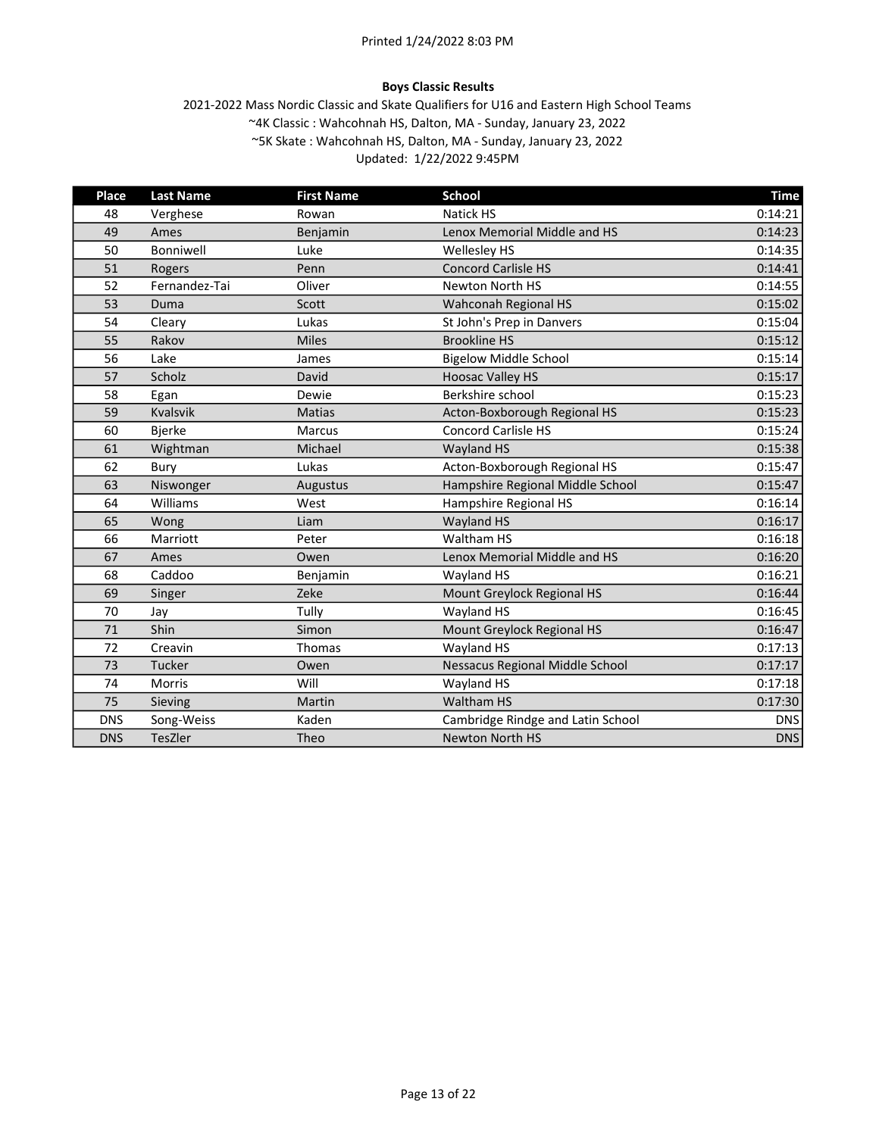# Boys Classic Results

| Place      | <b>Last Name</b> | <b>First Name</b> | <b>School</b>                     | <b>Time</b> |
|------------|------------------|-------------------|-----------------------------------|-------------|
| 48         | Verghese         | Rowan             | <b>Natick HS</b>                  | 0:14:21     |
| 49         | Ames             | Benjamin          | Lenox Memorial Middle and HS      | 0:14:23     |
| 50         | Bonniwell        | Luke              | <b>Wellesley HS</b>               | 0:14:35     |
| 51         | Rogers           | Penn              | <b>Concord Carlisle HS</b>        | 0:14:41     |
| 52         | Fernandez-Tai    | Oliver            | <b>Newton North HS</b>            | 0:14:55     |
| 53         | Duma             | Scott             | Wahconah Regional HS              | 0:15:02     |
| 54         | Cleary           | Lukas             | St John's Prep in Danvers         | 0:15:04     |
| 55         | Rakov            | <b>Miles</b>      | <b>Brookline HS</b>               | 0:15:12     |
| 56         | Lake             | James             | <b>Bigelow Middle School</b>      | 0:15:14     |
| 57         | Scholz           | David             | <b>Hoosac Valley HS</b>           | 0:15:17     |
| 58         | Egan             | Dewie             | Berkshire school                  | 0:15:23     |
| 59         | Kvalsvik         | <b>Matias</b>     | Acton-Boxborough Regional HS      | 0:15:23     |
| 60         | <b>Bjerke</b>    | <b>Marcus</b>     | <b>Concord Carlisle HS</b>        | 0:15:24     |
| 61         | Wightman         | Michael           | <b>Wayland HS</b>                 | 0:15:38     |
| 62         | Bury             | Lukas             | Acton-Boxborough Regional HS      | 0:15:47     |
| 63         | Niswonger        | Augustus          | Hampshire Regional Middle School  | 0:15:47     |
| 64         | Williams         | West              | Hampshire Regional HS             | 0:16:14     |
| 65         | Wong             | Liam              | <b>Wayland HS</b>                 | 0:16:17     |
| 66         | Marriott         | Peter             | Waltham HS                        | 0:16:18     |
| 67         | Ames             | Owen              | Lenox Memorial Middle and HS      | 0:16:20     |
| 68         | Caddoo           | Benjamin          | Wayland HS                        | 0:16:21     |
| 69         | Singer           | Zeke              | Mount Greylock Regional HS        | 0:16:44     |
| 70         | Jay              | Tully             | Wayland HS                        | 0:16:45     |
| 71         | Shin             | Simon             | Mount Greylock Regional HS        | 0:16:47     |
| 72         | Creavin          | Thomas            | Wayland HS                        | 0:17:13     |
| 73         | Tucker           | Owen              | Nessacus Regional Middle School   | 0:17:17     |
| 74         | Morris           | Will              | Wayland HS                        | 0:17:18     |
| 75         | Sieving          | <b>Martin</b>     | <b>Waltham HS</b>                 | 0:17:30     |
| <b>DNS</b> | Song-Weiss       | Kaden             | Cambridge Rindge and Latin School | <b>DNS</b>  |
| <b>DNS</b> | TesZler          | Theo              | <b>Newton North HS</b>            | <b>DNS</b>  |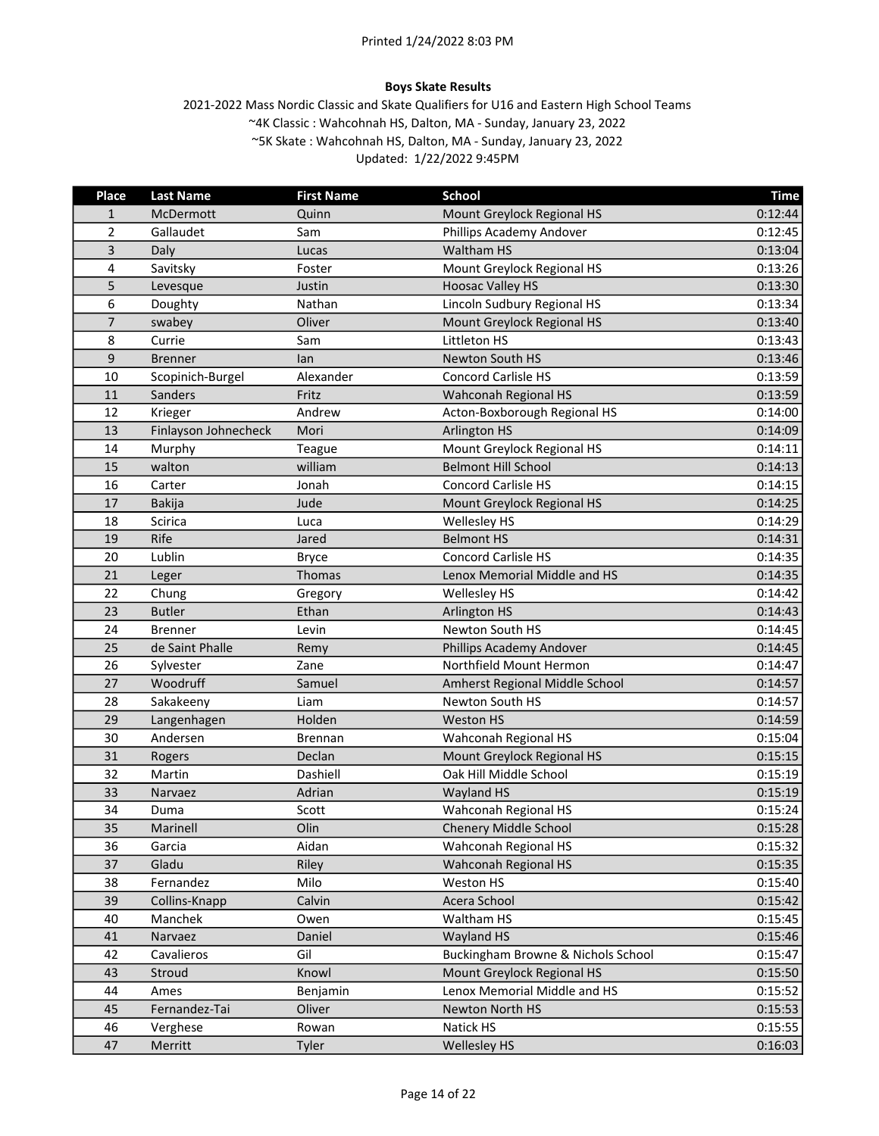#### Boys Skate Results

| Place          | <b>Last Name</b>     | <b>First Name</b> | <b>School</b>                      | <b>Time</b> |
|----------------|----------------------|-------------------|------------------------------------|-------------|
| $\mathbf{1}$   | McDermott            | Quinn             | Mount Greylock Regional HS         | 0:12:44     |
| $\overline{2}$ | Gallaudet            | Sam               | Phillips Academy Andover           | 0:12:45     |
| 3              | Daly                 | Lucas             | Waltham HS                         | 0:13:04     |
| $\overline{4}$ | Savitsky             | Foster            | Mount Greylock Regional HS         | 0:13:26     |
| 5              | Levesque             | Justin            | <b>Hoosac Valley HS</b>            | 0:13:30     |
| 6              | Doughty              | Nathan            | Lincoln Sudbury Regional HS        | 0:13:34     |
| $\overline{7}$ | swabey               | Oliver            | Mount Greylock Regional HS         | 0:13:40     |
| 8              | Currie               | Sam               | Littleton HS                       | 0:13:43     |
| 9              | <b>Brenner</b>       | lan               | Newton South HS                    | 0:13:46     |
| 10             | Scopinich-Burgel     | Alexander         | <b>Concord Carlisle HS</b>         | 0:13:59     |
| 11             | Sanders              | Fritz             | Wahconah Regional HS               | 0:13:59     |
| 12             | Krieger              | Andrew            | Acton-Boxborough Regional HS       | 0:14:00     |
| 13             | Finlayson Johnecheck | Mori              | <b>Arlington HS</b>                | 0:14:09     |
| 14             | Murphy               | Teague            | Mount Greylock Regional HS         | 0:14:11     |
| 15             | walton               | william           | <b>Belmont Hill School</b>         | 0:14:13     |
| 16             | Carter               | Jonah             | <b>Concord Carlisle HS</b>         | 0:14:15     |
| 17             | <b>Bakija</b>        | Jude              | Mount Greylock Regional HS         | 0:14:25     |
| 18             | Scirica              | Luca              | Wellesley HS                       | 0:14:29     |
| 19             | Rife                 | Jared             | <b>Belmont HS</b>                  | 0:14:31     |
| 20             | Lublin               | <b>Bryce</b>      | <b>Concord Carlisle HS</b>         | 0:14:35     |
| 21             | Leger                | Thomas            | Lenox Memorial Middle and HS       | 0:14:35     |
| 22             | Chung                | Gregory           | Wellesley HS                       | 0:14:42     |
| 23             | <b>Butler</b>        | Ethan             | <b>Arlington HS</b>                | 0:14:43     |
| 24             | <b>Brenner</b>       | Levin             | Newton South HS                    | 0:14:45     |
| 25             | de Saint Phalle      | Remy              | Phillips Academy Andover           | 0:14:45     |
| 26             | Sylvester            | Zane              | Northfield Mount Hermon            | 0:14:47     |
| 27             | Woodruff             | Samuel            | Amherst Regional Middle School     | 0:14:57     |
| 28             | Sakakeeny            | Liam              | Newton South HS                    | 0:14:57     |
| 29             | Langenhagen          | Holden            | <b>Weston HS</b>                   | 0:14:59     |
| 30             | Andersen             | <b>Brennan</b>    | Wahconah Regional HS               | 0:15:04     |
| 31             | Rogers               | Declan            | Mount Greylock Regional HS         | 0:15:15     |
| 32             | Martin               | Dashiell          | Oak Hill Middle School             | 0:15:19     |
| 33             | Narvaez              | Adrian            | Wayland HS                         | 0:15:19     |
| 34             | Duma                 | Scott             | Wahconah Regional HS               | 0:15:24     |
| 35             | Marinell             | Olin              | Chenery Middle School              | 0:15:28     |
| 36             | Garcia               | Aidan             | Wahconah Regional HS               | 0:15:32     |
| 37             | Gladu                | Riley             | Wahconah Regional HS               | 0:15:35     |
| 38             | Fernandez            | Milo              | Weston HS                          | 0:15:40     |
| 39             | Collins-Knapp        | Calvin            | Acera School                       | 0:15:42     |
| 40             | Manchek              | Owen              | Waltham HS                         | 0:15:45     |
| 41             | Narvaez              | Daniel            | Wayland HS                         | 0:15:46     |
| 42             | Cavalieros           | Gil               | Buckingham Browne & Nichols School | 0:15:47     |
| 43             | Stroud               | Knowl             | Mount Greylock Regional HS         | 0:15:50     |
| 44             | Ames                 | Benjamin          | Lenox Memorial Middle and HS       | 0:15:52     |
| 45             | Fernandez-Tai        | Oliver            | Newton North HS                    | 0:15:53     |
| 46             | Verghese             | Rowan             | Natick HS                          | 0:15:55     |
| 47             | Merritt              | Tyler             | <b>Wellesley HS</b>                | 0:16:03     |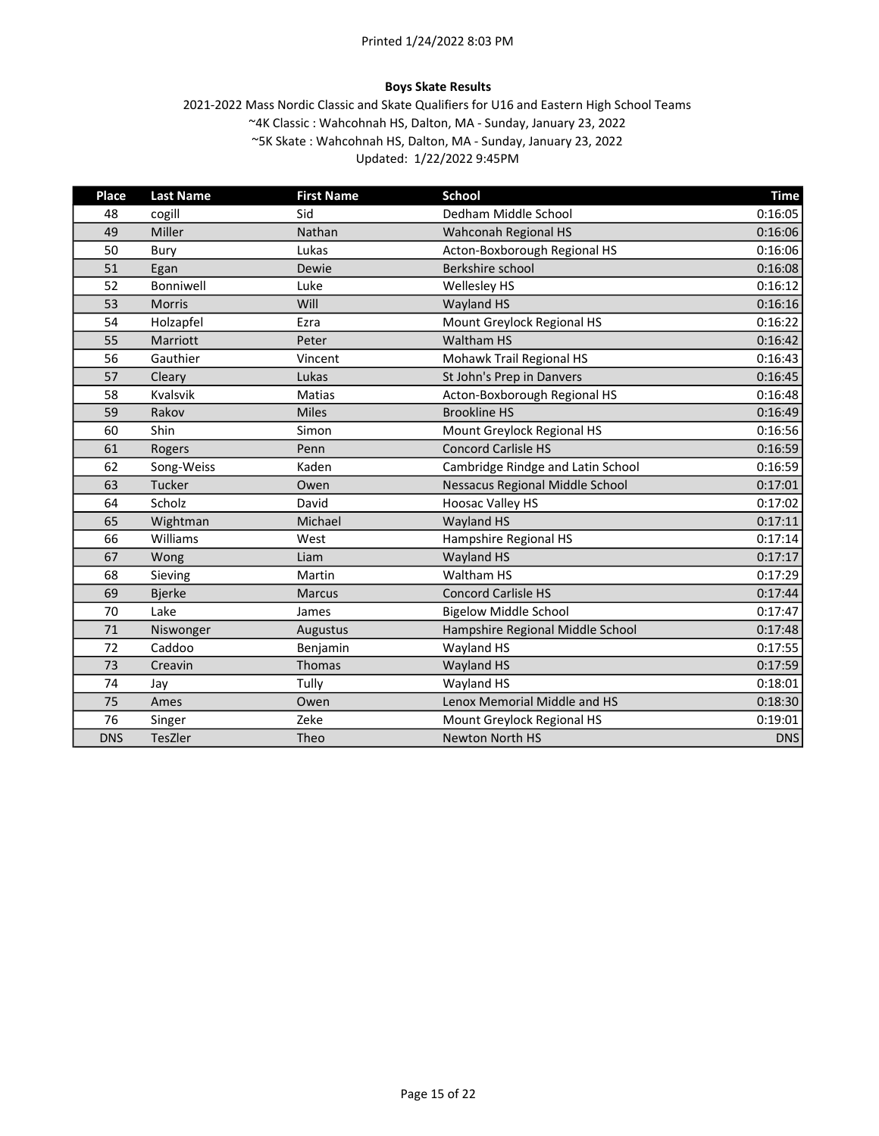#### Boys Skate Results

| <b>Place</b> | <b>Last Name</b> | <b>First Name</b> | <b>School</b>                          | <b>Time</b> |
|--------------|------------------|-------------------|----------------------------------------|-------------|
| 48           | cogill           | Sid               | Dedham Middle School                   | 0:16:05     |
| 49           | Miller           | Nathan            | Wahconah Regional HS                   | 0:16:06     |
| 50           | Bury             | Lukas             | Acton-Boxborough Regional HS           | 0:16:06     |
| 51           | Egan             | Dewie             | Berkshire school                       | 0:16:08     |
| 52           | Bonniwell        | Luke              | Wellesley HS                           | 0:16:12     |
| 53           | <b>Morris</b>    | Will              | Wayland HS                             | 0:16:16     |
| 54           | Holzapfel        | Ezra              | Mount Greylock Regional HS             | 0:16:22     |
| 55           | Marriott         | Peter             | <b>Waltham HS</b>                      | 0:16:42     |
| 56           | Gauthier         | Vincent           | Mohawk Trail Regional HS               | 0:16:43     |
| 57           | Cleary           | Lukas             | St John's Prep in Danvers              | 0:16:45     |
| 58           | Kvalsvik         | <b>Matias</b>     | Acton-Boxborough Regional HS           | 0:16:48     |
| 59           | Rakov            | <b>Miles</b>      | <b>Brookline HS</b>                    | 0:16:49     |
| 60           | Shin             | Simon             | Mount Greylock Regional HS             | 0:16:56     |
| 61           | Rogers           | Penn              | <b>Concord Carlisle HS</b>             | 0:16:59     |
| 62           | Song-Weiss       | Kaden             | Cambridge Rindge and Latin School      | 0:16:59     |
| 63           | Tucker           | Owen              | <b>Nessacus Regional Middle School</b> | 0:17:01     |
| 64           | Scholz           | David             | <b>Hoosac Valley HS</b>                | 0:17:02     |
| 65           | Wightman         | Michael           | <b>Wayland HS</b>                      | 0:17:11     |
| 66           | Williams         | West              | Hampshire Regional HS                  | 0:17:14     |
| 67           | Wong             | Liam              | Wayland HS                             | 0:17:17     |
| 68           | Sieving          | Martin            | Waltham HS                             | 0:17:29     |
| 69           | <b>Bjerke</b>    | <b>Marcus</b>     | <b>Concord Carlisle HS</b>             | 0:17:44     |
| 70           | Lake             | James             | <b>Bigelow Middle School</b>           | 0:17:47     |
| 71           | Niswonger        | Augustus          | Hampshire Regional Middle School       | 0:17:48     |
| 72           | Caddoo           | Benjamin          | Wayland HS                             | 0:17:55     |
| 73           | Creavin          | Thomas            | <b>Wayland HS</b>                      | 0:17:59     |
| 74           | Jay              | Tully             | Wayland HS                             | 0:18:01     |
| 75           | Ames             | Owen              | Lenox Memorial Middle and HS           | 0:18:30     |
| 76           | Singer           | Zeke              | Mount Greylock Regional HS             | 0:19:01     |
| <b>DNS</b>   | TesZler          | Theo              | <b>Newton North HS</b>                 | <b>DNS</b>  |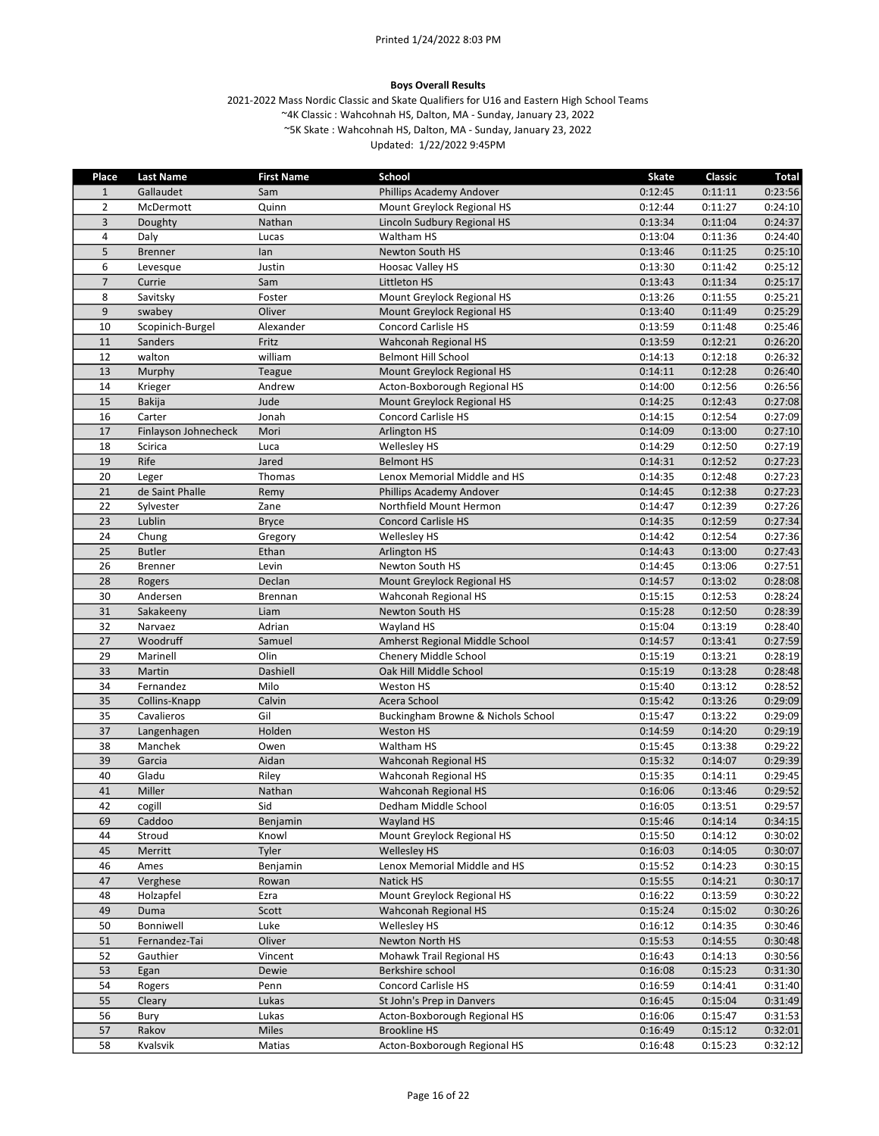#### Boys Overall Results

| $\mathbf{1}$<br>Gallaudet<br>Phillips Academy Andover<br>0:12:45<br>0:11:11<br>0:23:56<br>Sam<br>$\overline{2}$<br>McDermott<br>Quinn<br>Mount Greylock Regional HS<br>0:12:44<br>0:11:27<br>0:24:10<br>3<br>Nathan<br>Lincoln Sudbury Regional HS<br>0:13:34<br>0:11:04<br>0:24:37<br>Doughty<br>4<br>Daly<br>Lucas<br>Waltham HS<br>0:13:04<br>0:11:36<br>0:24:40<br>5<br>0:25:10<br><b>Brenner</b><br>lan<br>Newton South HS<br>0:13:46<br>0:11:25<br>0:25:12<br>6<br><b>Hoosac Valley HS</b><br>0:13:30<br>0:11:42<br>Levesque<br>Justin<br>$\overline{7}$<br>Littleton HS<br>Currie<br>Sam<br>0:13:43<br>0:11:34<br>0:25:17<br>8<br>0:11:55<br>0:25:21<br>Savitsky<br>Foster<br>Mount Greylock Regional HS<br>0:13:26<br>$9\,$<br>Oliver<br>0:25:29<br>Mount Greylock Regional HS<br>0:13:40<br>0:11:49<br>swabey<br>10<br><b>Concord Carlisle HS</b><br>0:13:59<br>0:11:48<br>0:25:46<br>Scopinich-Burgel<br>Alexander<br>Fritz<br>11<br>Sanders<br>Wahconah Regional HS<br>0:13:59<br>0:12:21<br>0:26:20<br>william<br>12<br>walton<br><b>Belmont Hill School</b><br>0:14:13<br>0:12:18<br>0:26:32<br>13<br>0:12:28<br>0:26:40<br>Mount Greylock Regional HS<br>0:14:11<br>Murphy<br>Teague<br>14<br>Acton-Boxborough Regional HS<br>0:12:56<br>0:26:56<br>Andrew<br>0:14:00<br>Krieger<br>15<br>Jude<br>0:14:25<br>0:12:43<br><b>Bakija</b><br>Mount Greylock Regional HS<br>0:27:08<br>16<br>Carter<br>Jonah<br>Concord Carlisle HS<br>0:12:54<br>0:27:09<br>0:14:15<br>17<br>0:27:10<br>Finlayson Johnecheck<br>Mori<br><b>Arlington HS</b><br>0:14:09<br>0:13:00<br>18<br>Scirica<br><b>Wellesley HS</b><br>0:14:29<br>0:12:50<br>0:27:19<br>Luca<br>Rife<br>19<br>Jared<br><b>Belmont HS</b><br>0:14:31<br>0:12:52<br>0:27:23<br>20<br>Thomas<br>Lenox Memorial Middle and HS<br>0:14:35<br>0:12:48<br>0:27:23<br>Leger<br>21<br>de Saint Phalle<br>0:14:45<br>0:12:38<br>0:27:23<br>Remy<br>Phillips Academy Andover<br>22<br>Sylvester<br>Zane<br>Northfield Mount Hermon<br>0:14:47<br>0:12:39<br>0:27:26<br>23<br>Lublin<br><b>Concord Carlisle HS</b><br>0:14:35<br>0:12:59<br>0:27:34<br><b>Bryce</b><br>0:27:36<br>24<br>Chung<br>0:14:42<br>0:12:54<br>Gregory<br><b>Wellesley HS</b><br>25<br>0:27:43<br><b>Butler</b><br>Ethan<br><b>Arlington HS</b><br>0:14:43<br>0:13:00<br>26<br><b>Brenner</b><br>Levin<br>Newton South HS<br>0:14:45<br>0:13:06<br>0:27:51<br>28<br>Declan<br>Mount Greylock Regional HS<br>0:14:57<br>0:13:02<br>0:28:08<br>Rogers<br>30<br>0:28:24<br>Andersen<br>Wahconah Regional HS<br>0:15:15<br>0:12:53<br><b>Brennan</b><br>31<br>Sakakeeny<br>Newton South HS<br>0:15:28<br>0:12:50<br>0:28:39<br>Liam<br>32<br>Narvaez<br>Adrian<br>Wayland HS<br>0:13:19<br>0:28:40<br>0:15:04<br>27<br>Woodruff<br>0:13:41<br>Samuel<br>Amherst Regional Middle School<br>0:14:57<br>0:27:59<br>29<br>0:28:19<br>Marinell<br>Olin<br>Chenery Middle School<br>0:15:19<br>0:13:21<br>33<br>Dashiell<br>Oak Hill Middle School<br>0:15:19<br>0:13:28<br>Martin<br>0:28:48<br>34<br>Milo<br>Weston HS<br>0:15:40<br>0:13:12<br>0:28:52<br>Fernandez<br>35<br>0:15:42<br>0:13:26<br>0:29:09<br>Calvin<br>Acera School<br>Collins-Knapp<br>Gil<br>35<br>0:15:47<br>0:13:22<br>0:29:09<br>Buckingham Browne & Nichols School<br>Cavalieros<br>37<br>Holden<br>0:29:19<br><b>Weston HS</b><br>0:14:59<br>0:14:20<br>Langenhagen<br>38<br>0:15:45<br>0:13:38<br>0:29:22<br>Manchek<br>Owen<br>Waltham HS<br>39<br>Aidan<br>0:29:39<br>Garcia<br>Wahconah Regional HS<br>0:15:32<br>0:14:07<br>40<br>Gladu<br>0:15:35<br>0:29:45<br>Riley<br>Wahconah Regional HS<br>0:14:11<br>41<br>Miller<br>Nathan<br>Wahconah Regional HS<br>0:16:06<br>0:13:46<br>0:29:52<br>42<br>Sid<br>0:29:57<br>cogill<br>Dedham Middle School<br>0:16:05<br>0:13:51<br>Caddoo<br>Wayland HS<br>0:15:46<br>0:14:14<br>0:34:15<br>69<br>Benjamin<br>44<br>Stroud<br>Knowl<br>Mount Greylock Regional HS<br>0:15:50<br>0:14:12<br>0:30:02<br>Merritt<br><b>Wellesley HS</b><br>45<br><b>Tyler</b><br>0:16:03<br>0:14:05<br>0:30:07<br>46<br>Lenox Memorial Middle and HS<br>0:15:52<br>0:30:15<br>Ames<br>Benjamin<br>0:14:23<br>47<br>Verghese<br>Natick HS<br>0:15:55<br>0:30:17<br>0:14:21<br>Rowan<br>Mount Greylock Regional HS<br>Holzapfel<br>0:16:22<br>0:13:59<br>0:30:22<br>48<br>Ezra<br>49<br>Duma<br><b>Wahconah Regional HS</b><br>0:15:24<br>0:15:02<br>Scott<br>0:30:26<br>50<br>Luke<br>Bonniwell<br>Wellesley HS<br>0:16:12<br>0:14:35<br>0:30:46<br>51<br>Fernandez-Tai<br>Oliver<br>Newton North HS<br>0:15:53<br>0:14:55<br>0:30:48<br>52<br>Gauthier<br>Mohawk Trail Regional HS<br>0:16:43<br>0:14:13<br>0:30:56<br>Vincent<br>53<br>Berkshire school<br>0:16:08<br>0:15:23<br>Egan<br>Dewie<br>0:31:30<br>54<br><b>Concord Carlisle HS</b><br>0:16:59<br>Rogers<br>Penn<br>0:14:41<br>0:31:40<br>55<br>Lukas<br>St John's Prep in Danvers<br>0:16:45<br>0:15:04<br>0:31:49<br>Cleary<br>56<br>Acton-Boxborough Regional HS<br>0:16:06<br>0:15:47<br>0:31:53<br>Bury<br>Lukas<br>57<br><b>Brookline HS</b><br>Rakov<br>Miles<br>0:16:49<br>0:15:12<br>0:32:01 | <b>Place</b> | <b>Last Name</b> | <b>First Name</b> | School                       | <b>Skate</b> | Classic | <b>Total</b> |
|----------------------------------------------------------------------------------------------------------------------------------------------------------------------------------------------------------------------------------------------------------------------------------------------------------------------------------------------------------------------------------------------------------------------------------------------------------------------------------------------------------------------------------------------------------------------------------------------------------------------------------------------------------------------------------------------------------------------------------------------------------------------------------------------------------------------------------------------------------------------------------------------------------------------------------------------------------------------------------------------------------------------------------------------------------------------------------------------------------------------------------------------------------------------------------------------------------------------------------------------------------------------------------------------------------------------------------------------------------------------------------------------------------------------------------------------------------------------------------------------------------------------------------------------------------------------------------------------------------------------------------------------------------------------------------------------------------------------------------------------------------------------------------------------------------------------------------------------------------------------------------------------------------------------------------------------------------------------------------------------------------------------------------------------------------------------------------------------------------------------------------------------------------------------------------------------------------------------------------------------------------------------------------------------------------------------------------------------------------------------------------------------------------------------------------------------------------------------------------------------------------------------------------------------------------------------------------------------------------------------------------------------------------------------------------------------------------------------------------------------------------------------------------------------------------------------------------------------------------------------------------------------------------------------------------------------------------------------------------------------------------------------------------------------------------------------------------------------------------------------------------------------------------------------------------------------------------------------------------------------------------------------------------------------------------------------------------------------------------------------------------------------------------------------------------------------------------------------------------------------------------------------------------------------------------------------------------------------------------------------------------------------------------------------------------------------------------------------------------------------------------------------------------------------------------------------------------------------------------------------------------------------------------------------------------------------------------------------------------------------------------------------------------------------------------------------------------------------------------------------------------------------------------------------------------------------------------------------------------------------------------------------------------------------------------------------------------------------------------------------------------------------------------------------------------------------------------------------------------------------------------------------------------------------------------------------------------------------------------------------------------------------------------------------------------------------------------------------------------------------------------------------------------------------------------------------------------------------------------------------------------------------------------------------------------------------------------------------------------------------------------------------------------------------------------------------------------------------|--------------|------------------|-------------------|------------------------------|--------------|---------|--------------|
|                                                                                                                                                                                                                                                                                                                                                                                                                                                                                                                                                                                                                                                                                                                                                                                                                                                                                                                                                                                                                                                                                                                                                                                                                                                                                                                                                                                                                                                                                                                                                                                                                                                                                                                                                                                                                                                                                                                                                                                                                                                                                                                                                                                                                                                                                                                                                                                                                                                                                                                                                                                                                                                                                                                                                                                                                                                                                                                                                                                                                                                                                                                                                                                                                                                                                                                                                                                                                                                                                                                                                                                                                                                                                                                                                                                                                                                                                                                                                                                                                                                                                                                                                                                                                                                                                                                                                                                                                                                                                                                                                                                                                                                                                                                                                                                                                                                                                                                                                                                                                                                                                              |              |                  |                   |                              |              |         |              |
|                                                                                                                                                                                                                                                                                                                                                                                                                                                                                                                                                                                                                                                                                                                                                                                                                                                                                                                                                                                                                                                                                                                                                                                                                                                                                                                                                                                                                                                                                                                                                                                                                                                                                                                                                                                                                                                                                                                                                                                                                                                                                                                                                                                                                                                                                                                                                                                                                                                                                                                                                                                                                                                                                                                                                                                                                                                                                                                                                                                                                                                                                                                                                                                                                                                                                                                                                                                                                                                                                                                                                                                                                                                                                                                                                                                                                                                                                                                                                                                                                                                                                                                                                                                                                                                                                                                                                                                                                                                                                                                                                                                                                                                                                                                                                                                                                                                                                                                                                                                                                                                                                              |              |                  |                   |                              |              |         |              |
|                                                                                                                                                                                                                                                                                                                                                                                                                                                                                                                                                                                                                                                                                                                                                                                                                                                                                                                                                                                                                                                                                                                                                                                                                                                                                                                                                                                                                                                                                                                                                                                                                                                                                                                                                                                                                                                                                                                                                                                                                                                                                                                                                                                                                                                                                                                                                                                                                                                                                                                                                                                                                                                                                                                                                                                                                                                                                                                                                                                                                                                                                                                                                                                                                                                                                                                                                                                                                                                                                                                                                                                                                                                                                                                                                                                                                                                                                                                                                                                                                                                                                                                                                                                                                                                                                                                                                                                                                                                                                                                                                                                                                                                                                                                                                                                                                                                                                                                                                                                                                                                                                              |              |                  |                   |                              |              |         |              |
|                                                                                                                                                                                                                                                                                                                                                                                                                                                                                                                                                                                                                                                                                                                                                                                                                                                                                                                                                                                                                                                                                                                                                                                                                                                                                                                                                                                                                                                                                                                                                                                                                                                                                                                                                                                                                                                                                                                                                                                                                                                                                                                                                                                                                                                                                                                                                                                                                                                                                                                                                                                                                                                                                                                                                                                                                                                                                                                                                                                                                                                                                                                                                                                                                                                                                                                                                                                                                                                                                                                                                                                                                                                                                                                                                                                                                                                                                                                                                                                                                                                                                                                                                                                                                                                                                                                                                                                                                                                                                                                                                                                                                                                                                                                                                                                                                                                                                                                                                                                                                                                                                              |              |                  |                   |                              |              |         |              |
|                                                                                                                                                                                                                                                                                                                                                                                                                                                                                                                                                                                                                                                                                                                                                                                                                                                                                                                                                                                                                                                                                                                                                                                                                                                                                                                                                                                                                                                                                                                                                                                                                                                                                                                                                                                                                                                                                                                                                                                                                                                                                                                                                                                                                                                                                                                                                                                                                                                                                                                                                                                                                                                                                                                                                                                                                                                                                                                                                                                                                                                                                                                                                                                                                                                                                                                                                                                                                                                                                                                                                                                                                                                                                                                                                                                                                                                                                                                                                                                                                                                                                                                                                                                                                                                                                                                                                                                                                                                                                                                                                                                                                                                                                                                                                                                                                                                                                                                                                                                                                                                                                              |              |                  |                   |                              |              |         |              |
|                                                                                                                                                                                                                                                                                                                                                                                                                                                                                                                                                                                                                                                                                                                                                                                                                                                                                                                                                                                                                                                                                                                                                                                                                                                                                                                                                                                                                                                                                                                                                                                                                                                                                                                                                                                                                                                                                                                                                                                                                                                                                                                                                                                                                                                                                                                                                                                                                                                                                                                                                                                                                                                                                                                                                                                                                                                                                                                                                                                                                                                                                                                                                                                                                                                                                                                                                                                                                                                                                                                                                                                                                                                                                                                                                                                                                                                                                                                                                                                                                                                                                                                                                                                                                                                                                                                                                                                                                                                                                                                                                                                                                                                                                                                                                                                                                                                                                                                                                                                                                                                                                              |              |                  |                   |                              |              |         |              |
|                                                                                                                                                                                                                                                                                                                                                                                                                                                                                                                                                                                                                                                                                                                                                                                                                                                                                                                                                                                                                                                                                                                                                                                                                                                                                                                                                                                                                                                                                                                                                                                                                                                                                                                                                                                                                                                                                                                                                                                                                                                                                                                                                                                                                                                                                                                                                                                                                                                                                                                                                                                                                                                                                                                                                                                                                                                                                                                                                                                                                                                                                                                                                                                                                                                                                                                                                                                                                                                                                                                                                                                                                                                                                                                                                                                                                                                                                                                                                                                                                                                                                                                                                                                                                                                                                                                                                                                                                                                                                                                                                                                                                                                                                                                                                                                                                                                                                                                                                                                                                                                                                              |              |                  |                   |                              |              |         |              |
|                                                                                                                                                                                                                                                                                                                                                                                                                                                                                                                                                                                                                                                                                                                                                                                                                                                                                                                                                                                                                                                                                                                                                                                                                                                                                                                                                                                                                                                                                                                                                                                                                                                                                                                                                                                                                                                                                                                                                                                                                                                                                                                                                                                                                                                                                                                                                                                                                                                                                                                                                                                                                                                                                                                                                                                                                                                                                                                                                                                                                                                                                                                                                                                                                                                                                                                                                                                                                                                                                                                                                                                                                                                                                                                                                                                                                                                                                                                                                                                                                                                                                                                                                                                                                                                                                                                                                                                                                                                                                                                                                                                                                                                                                                                                                                                                                                                                                                                                                                                                                                                                                              |              |                  |                   |                              |              |         |              |
|                                                                                                                                                                                                                                                                                                                                                                                                                                                                                                                                                                                                                                                                                                                                                                                                                                                                                                                                                                                                                                                                                                                                                                                                                                                                                                                                                                                                                                                                                                                                                                                                                                                                                                                                                                                                                                                                                                                                                                                                                                                                                                                                                                                                                                                                                                                                                                                                                                                                                                                                                                                                                                                                                                                                                                                                                                                                                                                                                                                                                                                                                                                                                                                                                                                                                                                                                                                                                                                                                                                                                                                                                                                                                                                                                                                                                                                                                                                                                                                                                                                                                                                                                                                                                                                                                                                                                                                                                                                                                                                                                                                                                                                                                                                                                                                                                                                                                                                                                                                                                                                                                              |              |                  |                   |                              |              |         |              |
|                                                                                                                                                                                                                                                                                                                                                                                                                                                                                                                                                                                                                                                                                                                                                                                                                                                                                                                                                                                                                                                                                                                                                                                                                                                                                                                                                                                                                                                                                                                                                                                                                                                                                                                                                                                                                                                                                                                                                                                                                                                                                                                                                                                                                                                                                                                                                                                                                                                                                                                                                                                                                                                                                                                                                                                                                                                                                                                                                                                                                                                                                                                                                                                                                                                                                                                                                                                                                                                                                                                                                                                                                                                                                                                                                                                                                                                                                                                                                                                                                                                                                                                                                                                                                                                                                                                                                                                                                                                                                                                                                                                                                                                                                                                                                                                                                                                                                                                                                                                                                                                                                              |              |                  |                   |                              |              |         |              |
|                                                                                                                                                                                                                                                                                                                                                                                                                                                                                                                                                                                                                                                                                                                                                                                                                                                                                                                                                                                                                                                                                                                                                                                                                                                                                                                                                                                                                                                                                                                                                                                                                                                                                                                                                                                                                                                                                                                                                                                                                                                                                                                                                                                                                                                                                                                                                                                                                                                                                                                                                                                                                                                                                                                                                                                                                                                                                                                                                                                                                                                                                                                                                                                                                                                                                                                                                                                                                                                                                                                                                                                                                                                                                                                                                                                                                                                                                                                                                                                                                                                                                                                                                                                                                                                                                                                                                                                                                                                                                                                                                                                                                                                                                                                                                                                                                                                                                                                                                                                                                                                                                              |              |                  |                   |                              |              |         |              |
|                                                                                                                                                                                                                                                                                                                                                                                                                                                                                                                                                                                                                                                                                                                                                                                                                                                                                                                                                                                                                                                                                                                                                                                                                                                                                                                                                                                                                                                                                                                                                                                                                                                                                                                                                                                                                                                                                                                                                                                                                                                                                                                                                                                                                                                                                                                                                                                                                                                                                                                                                                                                                                                                                                                                                                                                                                                                                                                                                                                                                                                                                                                                                                                                                                                                                                                                                                                                                                                                                                                                                                                                                                                                                                                                                                                                                                                                                                                                                                                                                                                                                                                                                                                                                                                                                                                                                                                                                                                                                                                                                                                                                                                                                                                                                                                                                                                                                                                                                                                                                                                                                              |              |                  |                   |                              |              |         |              |
|                                                                                                                                                                                                                                                                                                                                                                                                                                                                                                                                                                                                                                                                                                                                                                                                                                                                                                                                                                                                                                                                                                                                                                                                                                                                                                                                                                                                                                                                                                                                                                                                                                                                                                                                                                                                                                                                                                                                                                                                                                                                                                                                                                                                                                                                                                                                                                                                                                                                                                                                                                                                                                                                                                                                                                                                                                                                                                                                                                                                                                                                                                                                                                                                                                                                                                                                                                                                                                                                                                                                                                                                                                                                                                                                                                                                                                                                                                                                                                                                                                                                                                                                                                                                                                                                                                                                                                                                                                                                                                                                                                                                                                                                                                                                                                                                                                                                                                                                                                                                                                                                                              |              |                  |                   |                              |              |         |              |
|                                                                                                                                                                                                                                                                                                                                                                                                                                                                                                                                                                                                                                                                                                                                                                                                                                                                                                                                                                                                                                                                                                                                                                                                                                                                                                                                                                                                                                                                                                                                                                                                                                                                                                                                                                                                                                                                                                                                                                                                                                                                                                                                                                                                                                                                                                                                                                                                                                                                                                                                                                                                                                                                                                                                                                                                                                                                                                                                                                                                                                                                                                                                                                                                                                                                                                                                                                                                                                                                                                                                                                                                                                                                                                                                                                                                                                                                                                                                                                                                                                                                                                                                                                                                                                                                                                                                                                                                                                                                                                                                                                                                                                                                                                                                                                                                                                                                                                                                                                                                                                                                                              |              |                  |                   |                              |              |         |              |
|                                                                                                                                                                                                                                                                                                                                                                                                                                                                                                                                                                                                                                                                                                                                                                                                                                                                                                                                                                                                                                                                                                                                                                                                                                                                                                                                                                                                                                                                                                                                                                                                                                                                                                                                                                                                                                                                                                                                                                                                                                                                                                                                                                                                                                                                                                                                                                                                                                                                                                                                                                                                                                                                                                                                                                                                                                                                                                                                                                                                                                                                                                                                                                                                                                                                                                                                                                                                                                                                                                                                                                                                                                                                                                                                                                                                                                                                                                                                                                                                                                                                                                                                                                                                                                                                                                                                                                                                                                                                                                                                                                                                                                                                                                                                                                                                                                                                                                                                                                                                                                                                                              |              |                  |                   |                              |              |         |              |
|                                                                                                                                                                                                                                                                                                                                                                                                                                                                                                                                                                                                                                                                                                                                                                                                                                                                                                                                                                                                                                                                                                                                                                                                                                                                                                                                                                                                                                                                                                                                                                                                                                                                                                                                                                                                                                                                                                                                                                                                                                                                                                                                                                                                                                                                                                                                                                                                                                                                                                                                                                                                                                                                                                                                                                                                                                                                                                                                                                                                                                                                                                                                                                                                                                                                                                                                                                                                                                                                                                                                                                                                                                                                                                                                                                                                                                                                                                                                                                                                                                                                                                                                                                                                                                                                                                                                                                                                                                                                                                                                                                                                                                                                                                                                                                                                                                                                                                                                                                                                                                                                                              |              |                  |                   |                              |              |         |              |
|                                                                                                                                                                                                                                                                                                                                                                                                                                                                                                                                                                                                                                                                                                                                                                                                                                                                                                                                                                                                                                                                                                                                                                                                                                                                                                                                                                                                                                                                                                                                                                                                                                                                                                                                                                                                                                                                                                                                                                                                                                                                                                                                                                                                                                                                                                                                                                                                                                                                                                                                                                                                                                                                                                                                                                                                                                                                                                                                                                                                                                                                                                                                                                                                                                                                                                                                                                                                                                                                                                                                                                                                                                                                                                                                                                                                                                                                                                                                                                                                                                                                                                                                                                                                                                                                                                                                                                                                                                                                                                                                                                                                                                                                                                                                                                                                                                                                                                                                                                                                                                                                                              |              |                  |                   |                              |              |         |              |
|                                                                                                                                                                                                                                                                                                                                                                                                                                                                                                                                                                                                                                                                                                                                                                                                                                                                                                                                                                                                                                                                                                                                                                                                                                                                                                                                                                                                                                                                                                                                                                                                                                                                                                                                                                                                                                                                                                                                                                                                                                                                                                                                                                                                                                                                                                                                                                                                                                                                                                                                                                                                                                                                                                                                                                                                                                                                                                                                                                                                                                                                                                                                                                                                                                                                                                                                                                                                                                                                                                                                                                                                                                                                                                                                                                                                                                                                                                                                                                                                                                                                                                                                                                                                                                                                                                                                                                                                                                                                                                                                                                                                                                                                                                                                                                                                                                                                                                                                                                                                                                                                                              |              |                  |                   |                              |              |         |              |
|                                                                                                                                                                                                                                                                                                                                                                                                                                                                                                                                                                                                                                                                                                                                                                                                                                                                                                                                                                                                                                                                                                                                                                                                                                                                                                                                                                                                                                                                                                                                                                                                                                                                                                                                                                                                                                                                                                                                                                                                                                                                                                                                                                                                                                                                                                                                                                                                                                                                                                                                                                                                                                                                                                                                                                                                                                                                                                                                                                                                                                                                                                                                                                                                                                                                                                                                                                                                                                                                                                                                                                                                                                                                                                                                                                                                                                                                                                                                                                                                                                                                                                                                                                                                                                                                                                                                                                                                                                                                                                                                                                                                                                                                                                                                                                                                                                                                                                                                                                                                                                                                                              |              |                  |                   |                              |              |         |              |
|                                                                                                                                                                                                                                                                                                                                                                                                                                                                                                                                                                                                                                                                                                                                                                                                                                                                                                                                                                                                                                                                                                                                                                                                                                                                                                                                                                                                                                                                                                                                                                                                                                                                                                                                                                                                                                                                                                                                                                                                                                                                                                                                                                                                                                                                                                                                                                                                                                                                                                                                                                                                                                                                                                                                                                                                                                                                                                                                                                                                                                                                                                                                                                                                                                                                                                                                                                                                                                                                                                                                                                                                                                                                                                                                                                                                                                                                                                                                                                                                                                                                                                                                                                                                                                                                                                                                                                                                                                                                                                                                                                                                                                                                                                                                                                                                                                                                                                                                                                                                                                                                                              |              |                  |                   |                              |              |         |              |
|                                                                                                                                                                                                                                                                                                                                                                                                                                                                                                                                                                                                                                                                                                                                                                                                                                                                                                                                                                                                                                                                                                                                                                                                                                                                                                                                                                                                                                                                                                                                                                                                                                                                                                                                                                                                                                                                                                                                                                                                                                                                                                                                                                                                                                                                                                                                                                                                                                                                                                                                                                                                                                                                                                                                                                                                                                                                                                                                                                                                                                                                                                                                                                                                                                                                                                                                                                                                                                                                                                                                                                                                                                                                                                                                                                                                                                                                                                                                                                                                                                                                                                                                                                                                                                                                                                                                                                                                                                                                                                                                                                                                                                                                                                                                                                                                                                                                                                                                                                                                                                                                                              |              |                  |                   |                              |              |         |              |
|                                                                                                                                                                                                                                                                                                                                                                                                                                                                                                                                                                                                                                                                                                                                                                                                                                                                                                                                                                                                                                                                                                                                                                                                                                                                                                                                                                                                                                                                                                                                                                                                                                                                                                                                                                                                                                                                                                                                                                                                                                                                                                                                                                                                                                                                                                                                                                                                                                                                                                                                                                                                                                                                                                                                                                                                                                                                                                                                                                                                                                                                                                                                                                                                                                                                                                                                                                                                                                                                                                                                                                                                                                                                                                                                                                                                                                                                                                                                                                                                                                                                                                                                                                                                                                                                                                                                                                                                                                                                                                                                                                                                                                                                                                                                                                                                                                                                                                                                                                                                                                                                                              |              |                  |                   |                              |              |         |              |
|                                                                                                                                                                                                                                                                                                                                                                                                                                                                                                                                                                                                                                                                                                                                                                                                                                                                                                                                                                                                                                                                                                                                                                                                                                                                                                                                                                                                                                                                                                                                                                                                                                                                                                                                                                                                                                                                                                                                                                                                                                                                                                                                                                                                                                                                                                                                                                                                                                                                                                                                                                                                                                                                                                                                                                                                                                                                                                                                                                                                                                                                                                                                                                                                                                                                                                                                                                                                                                                                                                                                                                                                                                                                                                                                                                                                                                                                                                                                                                                                                                                                                                                                                                                                                                                                                                                                                                                                                                                                                                                                                                                                                                                                                                                                                                                                                                                                                                                                                                                                                                                                                              |              |                  |                   |                              |              |         |              |
|                                                                                                                                                                                                                                                                                                                                                                                                                                                                                                                                                                                                                                                                                                                                                                                                                                                                                                                                                                                                                                                                                                                                                                                                                                                                                                                                                                                                                                                                                                                                                                                                                                                                                                                                                                                                                                                                                                                                                                                                                                                                                                                                                                                                                                                                                                                                                                                                                                                                                                                                                                                                                                                                                                                                                                                                                                                                                                                                                                                                                                                                                                                                                                                                                                                                                                                                                                                                                                                                                                                                                                                                                                                                                                                                                                                                                                                                                                                                                                                                                                                                                                                                                                                                                                                                                                                                                                                                                                                                                                                                                                                                                                                                                                                                                                                                                                                                                                                                                                                                                                                                                              |              |                  |                   |                              |              |         |              |
|                                                                                                                                                                                                                                                                                                                                                                                                                                                                                                                                                                                                                                                                                                                                                                                                                                                                                                                                                                                                                                                                                                                                                                                                                                                                                                                                                                                                                                                                                                                                                                                                                                                                                                                                                                                                                                                                                                                                                                                                                                                                                                                                                                                                                                                                                                                                                                                                                                                                                                                                                                                                                                                                                                                                                                                                                                                                                                                                                                                                                                                                                                                                                                                                                                                                                                                                                                                                                                                                                                                                                                                                                                                                                                                                                                                                                                                                                                                                                                                                                                                                                                                                                                                                                                                                                                                                                                                                                                                                                                                                                                                                                                                                                                                                                                                                                                                                                                                                                                                                                                                                                              |              |                  |                   |                              |              |         |              |
|                                                                                                                                                                                                                                                                                                                                                                                                                                                                                                                                                                                                                                                                                                                                                                                                                                                                                                                                                                                                                                                                                                                                                                                                                                                                                                                                                                                                                                                                                                                                                                                                                                                                                                                                                                                                                                                                                                                                                                                                                                                                                                                                                                                                                                                                                                                                                                                                                                                                                                                                                                                                                                                                                                                                                                                                                                                                                                                                                                                                                                                                                                                                                                                                                                                                                                                                                                                                                                                                                                                                                                                                                                                                                                                                                                                                                                                                                                                                                                                                                                                                                                                                                                                                                                                                                                                                                                                                                                                                                                                                                                                                                                                                                                                                                                                                                                                                                                                                                                                                                                                                                              |              |                  |                   |                              |              |         |              |
|                                                                                                                                                                                                                                                                                                                                                                                                                                                                                                                                                                                                                                                                                                                                                                                                                                                                                                                                                                                                                                                                                                                                                                                                                                                                                                                                                                                                                                                                                                                                                                                                                                                                                                                                                                                                                                                                                                                                                                                                                                                                                                                                                                                                                                                                                                                                                                                                                                                                                                                                                                                                                                                                                                                                                                                                                                                                                                                                                                                                                                                                                                                                                                                                                                                                                                                                                                                                                                                                                                                                                                                                                                                                                                                                                                                                                                                                                                                                                                                                                                                                                                                                                                                                                                                                                                                                                                                                                                                                                                                                                                                                                                                                                                                                                                                                                                                                                                                                                                                                                                                                                              |              |                  |                   |                              |              |         |              |
|                                                                                                                                                                                                                                                                                                                                                                                                                                                                                                                                                                                                                                                                                                                                                                                                                                                                                                                                                                                                                                                                                                                                                                                                                                                                                                                                                                                                                                                                                                                                                                                                                                                                                                                                                                                                                                                                                                                                                                                                                                                                                                                                                                                                                                                                                                                                                                                                                                                                                                                                                                                                                                                                                                                                                                                                                                                                                                                                                                                                                                                                                                                                                                                                                                                                                                                                                                                                                                                                                                                                                                                                                                                                                                                                                                                                                                                                                                                                                                                                                                                                                                                                                                                                                                                                                                                                                                                                                                                                                                                                                                                                                                                                                                                                                                                                                                                                                                                                                                                                                                                                                              |              |                  |                   |                              |              |         |              |
|                                                                                                                                                                                                                                                                                                                                                                                                                                                                                                                                                                                                                                                                                                                                                                                                                                                                                                                                                                                                                                                                                                                                                                                                                                                                                                                                                                                                                                                                                                                                                                                                                                                                                                                                                                                                                                                                                                                                                                                                                                                                                                                                                                                                                                                                                                                                                                                                                                                                                                                                                                                                                                                                                                                                                                                                                                                                                                                                                                                                                                                                                                                                                                                                                                                                                                                                                                                                                                                                                                                                                                                                                                                                                                                                                                                                                                                                                                                                                                                                                                                                                                                                                                                                                                                                                                                                                                                                                                                                                                                                                                                                                                                                                                                                                                                                                                                                                                                                                                                                                                                                                              |              |                  |                   |                              |              |         |              |
|                                                                                                                                                                                                                                                                                                                                                                                                                                                                                                                                                                                                                                                                                                                                                                                                                                                                                                                                                                                                                                                                                                                                                                                                                                                                                                                                                                                                                                                                                                                                                                                                                                                                                                                                                                                                                                                                                                                                                                                                                                                                                                                                                                                                                                                                                                                                                                                                                                                                                                                                                                                                                                                                                                                                                                                                                                                                                                                                                                                                                                                                                                                                                                                                                                                                                                                                                                                                                                                                                                                                                                                                                                                                                                                                                                                                                                                                                                                                                                                                                                                                                                                                                                                                                                                                                                                                                                                                                                                                                                                                                                                                                                                                                                                                                                                                                                                                                                                                                                                                                                                                                              |              |                  |                   |                              |              |         |              |
|                                                                                                                                                                                                                                                                                                                                                                                                                                                                                                                                                                                                                                                                                                                                                                                                                                                                                                                                                                                                                                                                                                                                                                                                                                                                                                                                                                                                                                                                                                                                                                                                                                                                                                                                                                                                                                                                                                                                                                                                                                                                                                                                                                                                                                                                                                                                                                                                                                                                                                                                                                                                                                                                                                                                                                                                                                                                                                                                                                                                                                                                                                                                                                                                                                                                                                                                                                                                                                                                                                                                                                                                                                                                                                                                                                                                                                                                                                                                                                                                                                                                                                                                                                                                                                                                                                                                                                                                                                                                                                                                                                                                                                                                                                                                                                                                                                                                                                                                                                                                                                                                                              |              |                  |                   |                              |              |         |              |
|                                                                                                                                                                                                                                                                                                                                                                                                                                                                                                                                                                                                                                                                                                                                                                                                                                                                                                                                                                                                                                                                                                                                                                                                                                                                                                                                                                                                                                                                                                                                                                                                                                                                                                                                                                                                                                                                                                                                                                                                                                                                                                                                                                                                                                                                                                                                                                                                                                                                                                                                                                                                                                                                                                                                                                                                                                                                                                                                                                                                                                                                                                                                                                                                                                                                                                                                                                                                                                                                                                                                                                                                                                                                                                                                                                                                                                                                                                                                                                                                                                                                                                                                                                                                                                                                                                                                                                                                                                                                                                                                                                                                                                                                                                                                                                                                                                                                                                                                                                                                                                                                                              |              |                  |                   |                              |              |         |              |
|                                                                                                                                                                                                                                                                                                                                                                                                                                                                                                                                                                                                                                                                                                                                                                                                                                                                                                                                                                                                                                                                                                                                                                                                                                                                                                                                                                                                                                                                                                                                                                                                                                                                                                                                                                                                                                                                                                                                                                                                                                                                                                                                                                                                                                                                                                                                                                                                                                                                                                                                                                                                                                                                                                                                                                                                                                                                                                                                                                                                                                                                                                                                                                                                                                                                                                                                                                                                                                                                                                                                                                                                                                                                                                                                                                                                                                                                                                                                                                                                                                                                                                                                                                                                                                                                                                                                                                                                                                                                                                                                                                                                                                                                                                                                                                                                                                                                                                                                                                                                                                                                                              |              |                  |                   |                              |              |         |              |
|                                                                                                                                                                                                                                                                                                                                                                                                                                                                                                                                                                                                                                                                                                                                                                                                                                                                                                                                                                                                                                                                                                                                                                                                                                                                                                                                                                                                                                                                                                                                                                                                                                                                                                                                                                                                                                                                                                                                                                                                                                                                                                                                                                                                                                                                                                                                                                                                                                                                                                                                                                                                                                                                                                                                                                                                                                                                                                                                                                                                                                                                                                                                                                                                                                                                                                                                                                                                                                                                                                                                                                                                                                                                                                                                                                                                                                                                                                                                                                                                                                                                                                                                                                                                                                                                                                                                                                                                                                                                                                                                                                                                                                                                                                                                                                                                                                                                                                                                                                                                                                                                                              |              |                  |                   |                              |              |         |              |
|                                                                                                                                                                                                                                                                                                                                                                                                                                                                                                                                                                                                                                                                                                                                                                                                                                                                                                                                                                                                                                                                                                                                                                                                                                                                                                                                                                                                                                                                                                                                                                                                                                                                                                                                                                                                                                                                                                                                                                                                                                                                                                                                                                                                                                                                                                                                                                                                                                                                                                                                                                                                                                                                                                                                                                                                                                                                                                                                                                                                                                                                                                                                                                                                                                                                                                                                                                                                                                                                                                                                                                                                                                                                                                                                                                                                                                                                                                                                                                                                                                                                                                                                                                                                                                                                                                                                                                                                                                                                                                                                                                                                                                                                                                                                                                                                                                                                                                                                                                                                                                                                                              |              |                  |                   |                              |              |         |              |
|                                                                                                                                                                                                                                                                                                                                                                                                                                                                                                                                                                                                                                                                                                                                                                                                                                                                                                                                                                                                                                                                                                                                                                                                                                                                                                                                                                                                                                                                                                                                                                                                                                                                                                                                                                                                                                                                                                                                                                                                                                                                                                                                                                                                                                                                                                                                                                                                                                                                                                                                                                                                                                                                                                                                                                                                                                                                                                                                                                                                                                                                                                                                                                                                                                                                                                                                                                                                                                                                                                                                                                                                                                                                                                                                                                                                                                                                                                                                                                                                                                                                                                                                                                                                                                                                                                                                                                                                                                                                                                                                                                                                                                                                                                                                                                                                                                                                                                                                                                                                                                                                                              |              |                  |                   |                              |              |         |              |
|                                                                                                                                                                                                                                                                                                                                                                                                                                                                                                                                                                                                                                                                                                                                                                                                                                                                                                                                                                                                                                                                                                                                                                                                                                                                                                                                                                                                                                                                                                                                                                                                                                                                                                                                                                                                                                                                                                                                                                                                                                                                                                                                                                                                                                                                                                                                                                                                                                                                                                                                                                                                                                                                                                                                                                                                                                                                                                                                                                                                                                                                                                                                                                                                                                                                                                                                                                                                                                                                                                                                                                                                                                                                                                                                                                                                                                                                                                                                                                                                                                                                                                                                                                                                                                                                                                                                                                                                                                                                                                                                                                                                                                                                                                                                                                                                                                                                                                                                                                                                                                                                                              |              |                  |                   |                              |              |         |              |
|                                                                                                                                                                                                                                                                                                                                                                                                                                                                                                                                                                                                                                                                                                                                                                                                                                                                                                                                                                                                                                                                                                                                                                                                                                                                                                                                                                                                                                                                                                                                                                                                                                                                                                                                                                                                                                                                                                                                                                                                                                                                                                                                                                                                                                                                                                                                                                                                                                                                                                                                                                                                                                                                                                                                                                                                                                                                                                                                                                                                                                                                                                                                                                                                                                                                                                                                                                                                                                                                                                                                                                                                                                                                                                                                                                                                                                                                                                                                                                                                                                                                                                                                                                                                                                                                                                                                                                                                                                                                                                                                                                                                                                                                                                                                                                                                                                                                                                                                                                                                                                                                                              |              |                  |                   |                              |              |         |              |
|                                                                                                                                                                                                                                                                                                                                                                                                                                                                                                                                                                                                                                                                                                                                                                                                                                                                                                                                                                                                                                                                                                                                                                                                                                                                                                                                                                                                                                                                                                                                                                                                                                                                                                                                                                                                                                                                                                                                                                                                                                                                                                                                                                                                                                                                                                                                                                                                                                                                                                                                                                                                                                                                                                                                                                                                                                                                                                                                                                                                                                                                                                                                                                                                                                                                                                                                                                                                                                                                                                                                                                                                                                                                                                                                                                                                                                                                                                                                                                                                                                                                                                                                                                                                                                                                                                                                                                                                                                                                                                                                                                                                                                                                                                                                                                                                                                                                                                                                                                                                                                                                                              |              |                  |                   |                              |              |         |              |
|                                                                                                                                                                                                                                                                                                                                                                                                                                                                                                                                                                                                                                                                                                                                                                                                                                                                                                                                                                                                                                                                                                                                                                                                                                                                                                                                                                                                                                                                                                                                                                                                                                                                                                                                                                                                                                                                                                                                                                                                                                                                                                                                                                                                                                                                                                                                                                                                                                                                                                                                                                                                                                                                                                                                                                                                                                                                                                                                                                                                                                                                                                                                                                                                                                                                                                                                                                                                                                                                                                                                                                                                                                                                                                                                                                                                                                                                                                                                                                                                                                                                                                                                                                                                                                                                                                                                                                                                                                                                                                                                                                                                                                                                                                                                                                                                                                                                                                                                                                                                                                                                                              |              |                  |                   |                              |              |         |              |
|                                                                                                                                                                                                                                                                                                                                                                                                                                                                                                                                                                                                                                                                                                                                                                                                                                                                                                                                                                                                                                                                                                                                                                                                                                                                                                                                                                                                                                                                                                                                                                                                                                                                                                                                                                                                                                                                                                                                                                                                                                                                                                                                                                                                                                                                                                                                                                                                                                                                                                                                                                                                                                                                                                                                                                                                                                                                                                                                                                                                                                                                                                                                                                                                                                                                                                                                                                                                                                                                                                                                                                                                                                                                                                                                                                                                                                                                                                                                                                                                                                                                                                                                                                                                                                                                                                                                                                                                                                                                                                                                                                                                                                                                                                                                                                                                                                                                                                                                                                                                                                                                                              |              |                  |                   |                              |              |         |              |
|                                                                                                                                                                                                                                                                                                                                                                                                                                                                                                                                                                                                                                                                                                                                                                                                                                                                                                                                                                                                                                                                                                                                                                                                                                                                                                                                                                                                                                                                                                                                                                                                                                                                                                                                                                                                                                                                                                                                                                                                                                                                                                                                                                                                                                                                                                                                                                                                                                                                                                                                                                                                                                                                                                                                                                                                                                                                                                                                                                                                                                                                                                                                                                                                                                                                                                                                                                                                                                                                                                                                                                                                                                                                                                                                                                                                                                                                                                                                                                                                                                                                                                                                                                                                                                                                                                                                                                                                                                                                                                                                                                                                                                                                                                                                                                                                                                                                                                                                                                                                                                                                                              |              |                  |                   |                              |              |         |              |
|                                                                                                                                                                                                                                                                                                                                                                                                                                                                                                                                                                                                                                                                                                                                                                                                                                                                                                                                                                                                                                                                                                                                                                                                                                                                                                                                                                                                                                                                                                                                                                                                                                                                                                                                                                                                                                                                                                                                                                                                                                                                                                                                                                                                                                                                                                                                                                                                                                                                                                                                                                                                                                                                                                                                                                                                                                                                                                                                                                                                                                                                                                                                                                                                                                                                                                                                                                                                                                                                                                                                                                                                                                                                                                                                                                                                                                                                                                                                                                                                                                                                                                                                                                                                                                                                                                                                                                                                                                                                                                                                                                                                                                                                                                                                                                                                                                                                                                                                                                                                                                                                                              |              |                  |                   |                              |              |         |              |
|                                                                                                                                                                                                                                                                                                                                                                                                                                                                                                                                                                                                                                                                                                                                                                                                                                                                                                                                                                                                                                                                                                                                                                                                                                                                                                                                                                                                                                                                                                                                                                                                                                                                                                                                                                                                                                                                                                                                                                                                                                                                                                                                                                                                                                                                                                                                                                                                                                                                                                                                                                                                                                                                                                                                                                                                                                                                                                                                                                                                                                                                                                                                                                                                                                                                                                                                                                                                                                                                                                                                                                                                                                                                                                                                                                                                                                                                                                                                                                                                                                                                                                                                                                                                                                                                                                                                                                                                                                                                                                                                                                                                                                                                                                                                                                                                                                                                                                                                                                                                                                                                                              |              |                  |                   |                              |              |         |              |
|                                                                                                                                                                                                                                                                                                                                                                                                                                                                                                                                                                                                                                                                                                                                                                                                                                                                                                                                                                                                                                                                                                                                                                                                                                                                                                                                                                                                                                                                                                                                                                                                                                                                                                                                                                                                                                                                                                                                                                                                                                                                                                                                                                                                                                                                                                                                                                                                                                                                                                                                                                                                                                                                                                                                                                                                                                                                                                                                                                                                                                                                                                                                                                                                                                                                                                                                                                                                                                                                                                                                                                                                                                                                                                                                                                                                                                                                                                                                                                                                                                                                                                                                                                                                                                                                                                                                                                                                                                                                                                                                                                                                                                                                                                                                                                                                                                                                                                                                                                                                                                                                                              |              |                  |                   |                              |              |         |              |
|                                                                                                                                                                                                                                                                                                                                                                                                                                                                                                                                                                                                                                                                                                                                                                                                                                                                                                                                                                                                                                                                                                                                                                                                                                                                                                                                                                                                                                                                                                                                                                                                                                                                                                                                                                                                                                                                                                                                                                                                                                                                                                                                                                                                                                                                                                                                                                                                                                                                                                                                                                                                                                                                                                                                                                                                                                                                                                                                                                                                                                                                                                                                                                                                                                                                                                                                                                                                                                                                                                                                                                                                                                                                                                                                                                                                                                                                                                                                                                                                                                                                                                                                                                                                                                                                                                                                                                                                                                                                                                                                                                                                                                                                                                                                                                                                                                                                                                                                                                                                                                                                                              |              |                  |                   |                              |              |         |              |
|                                                                                                                                                                                                                                                                                                                                                                                                                                                                                                                                                                                                                                                                                                                                                                                                                                                                                                                                                                                                                                                                                                                                                                                                                                                                                                                                                                                                                                                                                                                                                                                                                                                                                                                                                                                                                                                                                                                                                                                                                                                                                                                                                                                                                                                                                                                                                                                                                                                                                                                                                                                                                                                                                                                                                                                                                                                                                                                                                                                                                                                                                                                                                                                                                                                                                                                                                                                                                                                                                                                                                                                                                                                                                                                                                                                                                                                                                                                                                                                                                                                                                                                                                                                                                                                                                                                                                                                                                                                                                                                                                                                                                                                                                                                                                                                                                                                                                                                                                                                                                                                                                              |              |                  |                   |                              |              |         |              |
|                                                                                                                                                                                                                                                                                                                                                                                                                                                                                                                                                                                                                                                                                                                                                                                                                                                                                                                                                                                                                                                                                                                                                                                                                                                                                                                                                                                                                                                                                                                                                                                                                                                                                                                                                                                                                                                                                                                                                                                                                                                                                                                                                                                                                                                                                                                                                                                                                                                                                                                                                                                                                                                                                                                                                                                                                                                                                                                                                                                                                                                                                                                                                                                                                                                                                                                                                                                                                                                                                                                                                                                                                                                                                                                                                                                                                                                                                                                                                                                                                                                                                                                                                                                                                                                                                                                                                                                                                                                                                                                                                                                                                                                                                                                                                                                                                                                                                                                                                                                                                                                                                              |              |                  |                   |                              |              |         |              |
|                                                                                                                                                                                                                                                                                                                                                                                                                                                                                                                                                                                                                                                                                                                                                                                                                                                                                                                                                                                                                                                                                                                                                                                                                                                                                                                                                                                                                                                                                                                                                                                                                                                                                                                                                                                                                                                                                                                                                                                                                                                                                                                                                                                                                                                                                                                                                                                                                                                                                                                                                                                                                                                                                                                                                                                                                                                                                                                                                                                                                                                                                                                                                                                                                                                                                                                                                                                                                                                                                                                                                                                                                                                                                                                                                                                                                                                                                                                                                                                                                                                                                                                                                                                                                                                                                                                                                                                                                                                                                                                                                                                                                                                                                                                                                                                                                                                                                                                                                                                                                                                                                              |              |                  |                   |                              |              |         |              |
|                                                                                                                                                                                                                                                                                                                                                                                                                                                                                                                                                                                                                                                                                                                                                                                                                                                                                                                                                                                                                                                                                                                                                                                                                                                                                                                                                                                                                                                                                                                                                                                                                                                                                                                                                                                                                                                                                                                                                                                                                                                                                                                                                                                                                                                                                                                                                                                                                                                                                                                                                                                                                                                                                                                                                                                                                                                                                                                                                                                                                                                                                                                                                                                                                                                                                                                                                                                                                                                                                                                                                                                                                                                                                                                                                                                                                                                                                                                                                                                                                                                                                                                                                                                                                                                                                                                                                                                                                                                                                                                                                                                                                                                                                                                                                                                                                                                                                                                                                                                                                                                                                              |              |                  |                   |                              |              |         |              |
|                                                                                                                                                                                                                                                                                                                                                                                                                                                                                                                                                                                                                                                                                                                                                                                                                                                                                                                                                                                                                                                                                                                                                                                                                                                                                                                                                                                                                                                                                                                                                                                                                                                                                                                                                                                                                                                                                                                                                                                                                                                                                                                                                                                                                                                                                                                                                                                                                                                                                                                                                                                                                                                                                                                                                                                                                                                                                                                                                                                                                                                                                                                                                                                                                                                                                                                                                                                                                                                                                                                                                                                                                                                                                                                                                                                                                                                                                                                                                                                                                                                                                                                                                                                                                                                                                                                                                                                                                                                                                                                                                                                                                                                                                                                                                                                                                                                                                                                                                                                                                                                                                              |              |                  |                   |                              |              |         |              |
|                                                                                                                                                                                                                                                                                                                                                                                                                                                                                                                                                                                                                                                                                                                                                                                                                                                                                                                                                                                                                                                                                                                                                                                                                                                                                                                                                                                                                                                                                                                                                                                                                                                                                                                                                                                                                                                                                                                                                                                                                                                                                                                                                                                                                                                                                                                                                                                                                                                                                                                                                                                                                                                                                                                                                                                                                                                                                                                                                                                                                                                                                                                                                                                                                                                                                                                                                                                                                                                                                                                                                                                                                                                                                                                                                                                                                                                                                                                                                                                                                                                                                                                                                                                                                                                                                                                                                                                                                                                                                                                                                                                                                                                                                                                                                                                                                                                                                                                                                                                                                                                                                              |              |                  |                   |                              |              |         |              |
|                                                                                                                                                                                                                                                                                                                                                                                                                                                                                                                                                                                                                                                                                                                                                                                                                                                                                                                                                                                                                                                                                                                                                                                                                                                                                                                                                                                                                                                                                                                                                                                                                                                                                                                                                                                                                                                                                                                                                                                                                                                                                                                                                                                                                                                                                                                                                                                                                                                                                                                                                                                                                                                                                                                                                                                                                                                                                                                                                                                                                                                                                                                                                                                                                                                                                                                                                                                                                                                                                                                                                                                                                                                                                                                                                                                                                                                                                                                                                                                                                                                                                                                                                                                                                                                                                                                                                                                                                                                                                                                                                                                                                                                                                                                                                                                                                                                                                                                                                                                                                                                                                              |              |                  |                   |                              |              |         |              |
|                                                                                                                                                                                                                                                                                                                                                                                                                                                                                                                                                                                                                                                                                                                                                                                                                                                                                                                                                                                                                                                                                                                                                                                                                                                                                                                                                                                                                                                                                                                                                                                                                                                                                                                                                                                                                                                                                                                                                                                                                                                                                                                                                                                                                                                                                                                                                                                                                                                                                                                                                                                                                                                                                                                                                                                                                                                                                                                                                                                                                                                                                                                                                                                                                                                                                                                                                                                                                                                                                                                                                                                                                                                                                                                                                                                                                                                                                                                                                                                                                                                                                                                                                                                                                                                                                                                                                                                                                                                                                                                                                                                                                                                                                                                                                                                                                                                                                                                                                                                                                                                                                              |              |                  |                   |                              |              |         |              |
|                                                                                                                                                                                                                                                                                                                                                                                                                                                                                                                                                                                                                                                                                                                                                                                                                                                                                                                                                                                                                                                                                                                                                                                                                                                                                                                                                                                                                                                                                                                                                                                                                                                                                                                                                                                                                                                                                                                                                                                                                                                                                                                                                                                                                                                                                                                                                                                                                                                                                                                                                                                                                                                                                                                                                                                                                                                                                                                                                                                                                                                                                                                                                                                                                                                                                                                                                                                                                                                                                                                                                                                                                                                                                                                                                                                                                                                                                                                                                                                                                                                                                                                                                                                                                                                                                                                                                                                                                                                                                                                                                                                                                                                                                                                                                                                                                                                                                                                                                                                                                                                                                              |              |                  |                   |                              |              |         |              |
|                                                                                                                                                                                                                                                                                                                                                                                                                                                                                                                                                                                                                                                                                                                                                                                                                                                                                                                                                                                                                                                                                                                                                                                                                                                                                                                                                                                                                                                                                                                                                                                                                                                                                                                                                                                                                                                                                                                                                                                                                                                                                                                                                                                                                                                                                                                                                                                                                                                                                                                                                                                                                                                                                                                                                                                                                                                                                                                                                                                                                                                                                                                                                                                                                                                                                                                                                                                                                                                                                                                                                                                                                                                                                                                                                                                                                                                                                                                                                                                                                                                                                                                                                                                                                                                                                                                                                                                                                                                                                                                                                                                                                                                                                                                                                                                                                                                                                                                                                                                                                                                                                              |              |                  |                   |                              |              |         |              |
|                                                                                                                                                                                                                                                                                                                                                                                                                                                                                                                                                                                                                                                                                                                                                                                                                                                                                                                                                                                                                                                                                                                                                                                                                                                                                                                                                                                                                                                                                                                                                                                                                                                                                                                                                                                                                                                                                                                                                                                                                                                                                                                                                                                                                                                                                                                                                                                                                                                                                                                                                                                                                                                                                                                                                                                                                                                                                                                                                                                                                                                                                                                                                                                                                                                                                                                                                                                                                                                                                                                                                                                                                                                                                                                                                                                                                                                                                                                                                                                                                                                                                                                                                                                                                                                                                                                                                                                                                                                                                                                                                                                                                                                                                                                                                                                                                                                                                                                                                                                                                                                                                              |              |                  |                   |                              |              |         |              |
|                                                                                                                                                                                                                                                                                                                                                                                                                                                                                                                                                                                                                                                                                                                                                                                                                                                                                                                                                                                                                                                                                                                                                                                                                                                                                                                                                                                                                                                                                                                                                                                                                                                                                                                                                                                                                                                                                                                                                                                                                                                                                                                                                                                                                                                                                                                                                                                                                                                                                                                                                                                                                                                                                                                                                                                                                                                                                                                                                                                                                                                                                                                                                                                                                                                                                                                                                                                                                                                                                                                                                                                                                                                                                                                                                                                                                                                                                                                                                                                                                                                                                                                                                                                                                                                                                                                                                                                                                                                                                                                                                                                                                                                                                                                                                                                                                                                                                                                                                                                                                                                                                              | 58           | Kvalsvik         | Matias            | Acton-Boxborough Regional HS | 0:16:48      | 0:15:23 | 0:32:12      |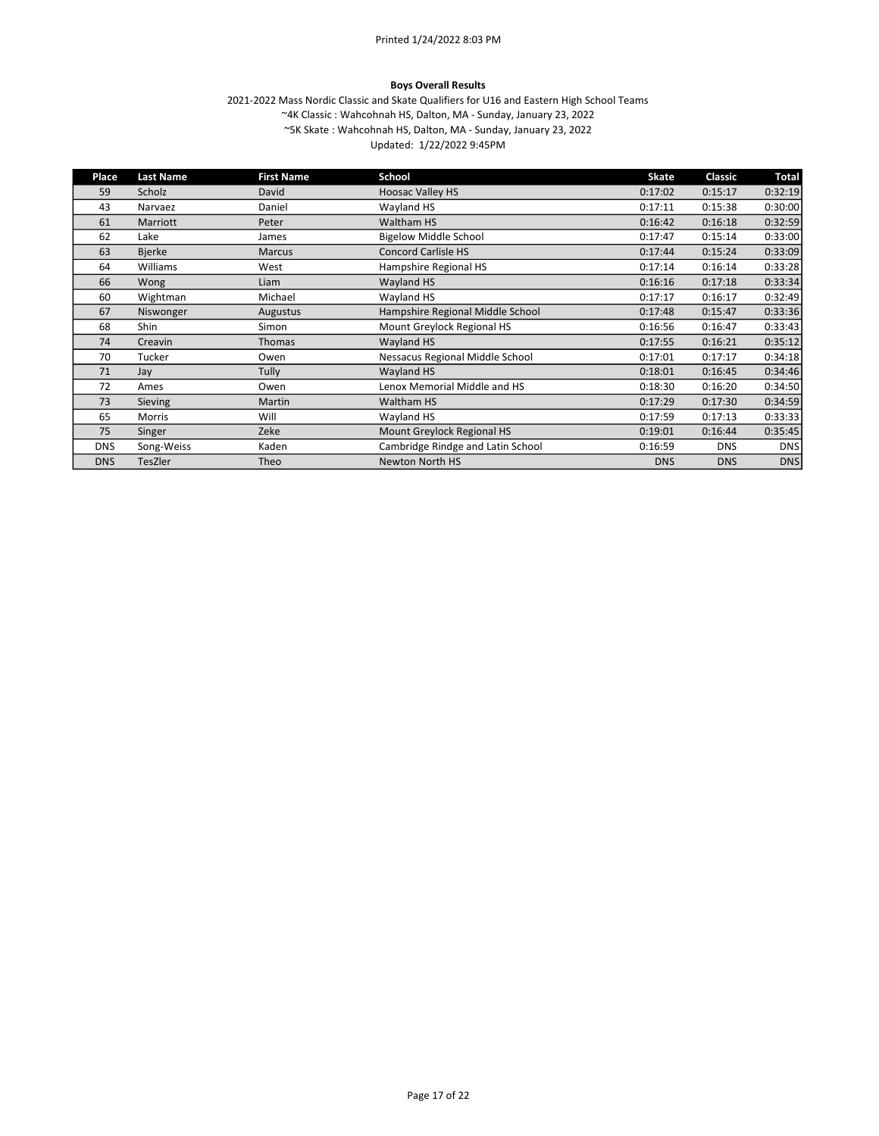#### Boys Overall Results

| Place      | <b>Last Name</b> | <b>First Name</b> | School                            | Skate      | Classic    | <b>Total</b> |
|------------|------------------|-------------------|-----------------------------------|------------|------------|--------------|
| 59         | Scholz           | David             | <b>Hoosac Valley HS</b>           | 0:17:02    | 0:15:17    | 0:32:19      |
| 43         | Narvaez          | Daniel            | Wayland HS                        | 0:17:11    | 0:15:38    | 0:30:00      |
| 61         | Marriott         | Peter             | Waltham HS                        | 0:16:42    | 0:16:18    | 0:32:59      |
| 62         | Lake             | James             | <b>Bigelow Middle School</b>      | 0:17:47    | 0:15:14    | 0:33:00      |
| 63         | <b>Bjerke</b>    | <b>Marcus</b>     | <b>Concord Carlisle HS</b>        | 0:17:44    | 0:15:24    | 0:33:09      |
| 64         | Williams         | West              | Hampshire Regional HS             | 0:17:14    | 0:16:14    | 0:33:28      |
| 66         | Wong             | Liam              | <b>Wayland HS</b>                 | 0:16:16    | 0:17:18    | 0:33:34      |
| 60         | Wightman         | Michael           | Wayland HS                        | 0:17:17    | 0:16:17    | 0:32:49      |
| 67         | Niswonger        | Augustus          | Hampshire Regional Middle School  | 0:17:48    | 0:15:47    | 0:33:36      |
| 68         | <b>Shin</b>      | Simon             | Mount Greylock Regional HS        | 0:16:56    | 0:16:47    | 0:33:43      |
| 74         | Creavin          | Thomas            | Wayland HS                        | 0:17:55    | 0:16:21    | 0:35:12      |
| 70         | Tucker           | Owen              | Nessacus Regional Middle School   | 0:17:01    | 0:17:17    | 0:34:18      |
| 71         | Jay              | Tully             | Wayland HS                        | 0:18:01    | 0:16:45    | 0:34:46      |
| 72         | Ames             | Owen              | Lenox Memorial Middle and HS      | 0:18:30    | 0:16:20    | 0:34:50      |
| 73         | <b>Sieving</b>   | Martin            | Waltham HS                        | 0:17:29    | 0:17:30    | 0:34:59      |
| 65         | <b>Morris</b>    | Will              | Wayland HS                        | 0:17:59    | 0:17:13    | 0:33:33      |
| 75         | Singer           | Zeke              | Mount Greylock Regional HS        | 0:19:01    | 0:16:44    | 0:35:45      |
| <b>DNS</b> | Song-Weiss       | Kaden             | Cambridge Rindge and Latin School | 0:16:59    | <b>DNS</b> | <b>DNS</b>   |
| <b>DNS</b> | TesZler          | Theo              | Newton North HS                   | <b>DNS</b> | <b>DNS</b> | <b>DNS</b>   |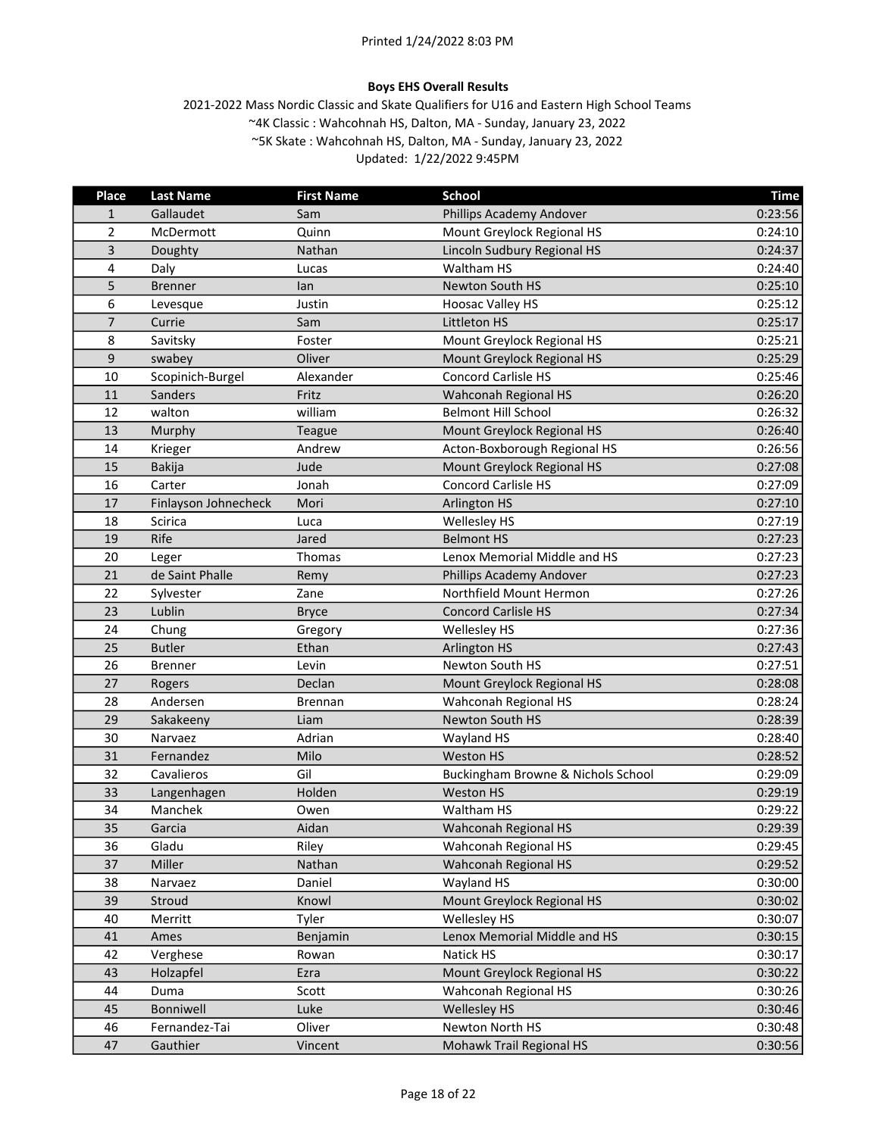# Boys EHS Overall Results

| Place          | <b>Last Name</b>     | <b>First Name</b> | <b>School</b>                      | <b>Time</b> |
|----------------|----------------------|-------------------|------------------------------------|-------------|
| 1              | Gallaudet            | Sam               | Phillips Academy Andover           | 0:23:56     |
| $\overline{2}$ | McDermott            | Quinn             | Mount Greylock Regional HS         | 0:24:10     |
| 3              | Doughty              | Nathan            | Lincoln Sudbury Regional HS        | 0:24:37     |
| 4              | Daly                 | Lucas             | Waltham HS                         | 0:24:40     |
| 5              | <b>Brenner</b>       | lan               | Newton South HS                    | 0:25:10     |
| 6              | Levesque             | Justin            | <b>Hoosac Valley HS</b>            | 0:25:12     |
| $\overline{7}$ | Currie               | Sam               | Littleton HS                       | 0:25:17     |
| 8              | Savitsky             | Foster            | Mount Greylock Regional HS         | 0:25:21     |
| 9              | swabey               | Oliver            | Mount Greylock Regional HS         | 0:25:29     |
| 10             | Scopinich-Burgel     | Alexander         | <b>Concord Carlisle HS</b>         | 0:25:46     |
| 11             | Sanders              | Fritz             | Wahconah Regional HS               | 0:26:20     |
| 12             | walton               | william           | <b>Belmont Hill School</b>         | 0:26:32     |
| 13             | Murphy               | <b>Teague</b>     | Mount Greylock Regional HS         | 0:26:40     |
| 14             | Krieger              | Andrew            | Acton-Boxborough Regional HS       | 0:26:56     |
| 15             | <b>Bakija</b>        | Jude              | Mount Greylock Regional HS         | 0:27:08     |
| 16             | Carter               | Jonah             | Concord Carlisle HS                | 0:27:09     |
| 17             | Finlayson Johnecheck | Mori              | <b>Arlington HS</b>                | 0:27:10     |
| 18             | <b>Scirica</b>       | Luca              | Wellesley HS                       | 0:27:19     |
| 19             | Rife                 | Jared             | <b>Belmont HS</b>                  | 0:27:23     |
| 20             | Leger                | Thomas            | Lenox Memorial Middle and HS       | 0:27:23     |
| 21             | de Saint Phalle      | Remy              | Phillips Academy Andover           | 0:27:23     |
| 22             | Sylvester            | Zane              | Northfield Mount Hermon            | 0:27:26     |
| 23             | Lublin               | <b>Bryce</b>      | <b>Concord Carlisle HS</b>         | 0:27:34     |
| 24             | Chung                | Gregory           | Wellesley HS                       | 0:27:36     |
| 25             | <b>Butler</b>        | Ethan             | <b>Arlington HS</b>                | 0:27:43     |
| 26             | <b>Brenner</b>       | Levin             | Newton South HS                    | 0:27:51     |
| 27             | Rogers               | Declan            | Mount Greylock Regional HS         | 0:28:08     |
| 28             | Andersen             | <b>Brennan</b>    | Wahconah Regional HS               | 0:28:24     |
| 29             | Sakakeeny            | Liam              | Newton South HS                    | 0:28:39     |
| 30             | Narvaez              | Adrian            | Wayland HS                         | 0:28:40     |
| 31             | Fernandez            | Milo              | <b>Weston HS</b>                   | 0:28:52     |
| 32             | Cavalieros           | Gil               | Buckingham Browne & Nichols School | 0:29:09     |
| 33             | Langenhagen          | Holden            | <b>Weston HS</b>                   | 0:29:19     |
| 34             | Manchek              | Owen              | Waltham HS                         | 0:29:22     |
| 35             | Garcia               | Aidan             | Wahconah Regional HS               | 0:29:39     |
| 36             | Gladu                | Riley             | Wahconah Regional HS               | 0:29:45     |
| 37             | Miller               | Nathan            | Wahconah Regional HS               | 0:29:52     |
| 38             | Narvaez              | Daniel            | Wayland HS                         | 0:30:00     |
| 39             | Stroud               | Knowl             | Mount Greylock Regional HS         | 0:30:02     |
| 40             | Merritt              | Tyler             | Wellesley HS                       | 0:30:07     |
| 41             | Ames                 | Benjamin          | Lenox Memorial Middle and HS       | 0:30:15     |
| 42             | Verghese             | Rowan             | Natick HS                          | 0:30:17     |
| 43             | Holzapfel            | Ezra              | Mount Greylock Regional HS         | 0:30:22     |
| 44             | Duma                 | Scott             | Wahconah Regional HS               | 0:30:26     |
| 45             | Bonniwell            | Luke              | <b>Wellesley HS</b>                | 0:30:46     |
| 46             | Fernandez-Tai        | Oliver            | Newton North HS                    | 0:30:48     |
| 47             | Gauthier             | Vincent           | Mohawk Trail Regional HS           | 0:30:56     |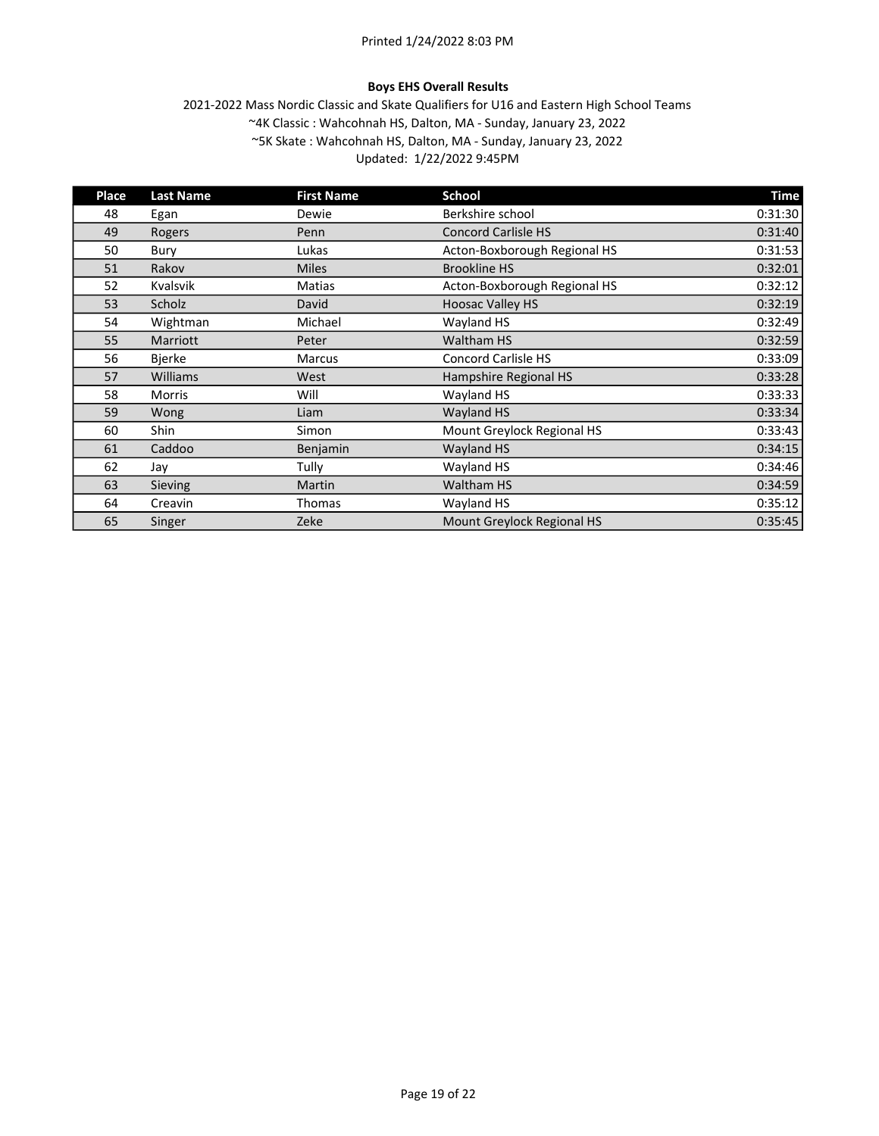# Boys EHS Overall Results

| Place | <b>Last Name</b> | <b>First Name</b> | School                       | <b>Time</b> |
|-------|------------------|-------------------|------------------------------|-------------|
| 48    | Egan             | Dewie             | Berkshire school             | 0:31:30     |
| 49    | <b>Rogers</b>    | Penn              | <b>Concord Carlisle HS</b>   | 0:31:40     |
| 50    | Bury             | Lukas             | Acton-Boxborough Regional HS | 0:31:53     |
| 51    | Rakov            | <b>Miles</b>      | <b>Brookline HS</b>          | 0:32:01     |
| 52    | <b>Kvalsvik</b>  | Matias            | Acton-Boxborough Regional HS | 0:32:12     |
| 53    | Scholz           | David             | <b>Hoosac Valley HS</b>      | 0:32:19     |
| 54    | Wightman         | Michael           | Wayland HS                   | 0:32:49     |
| 55    | Marriott         | Peter             | <b>Waltham HS</b>            | 0:32:59     |
| 56    | <b>Bjerke</b>    | <b>Marcus</b>     | <b>Concord Carlisle HS</b>   | 0:33:09     |
| 57    | Williams         | West              | Hampshire Regional HS        | 0:33:28     |
| 58    | Morris           | Will              | Wayland HS                   | 0:33:33     |
| 59    | Wong             | Liam              | <b>Wayland HS</b>            | 0:33:34     |
| 60    | Shin             | Simon             | Mount Greylock Regional HS   | 0:33:43     |
| 61    | Caddoo           | Benjamin          | <b>Wayland HS</b>            | 0:34:15     |
| 62    | Jay              | Tully             | Wayland HS                   | 0:34:46     |
| 63    | Sieving          | Martin            | Waltham HS                   | 0:34:59     |
| 64    | Creavin          | Thomas            | Wayland HS                   | 0:35:12     |
| 65    | Singer           | Zeke              | Mount Greylock Regional HS   | 0:35:45     |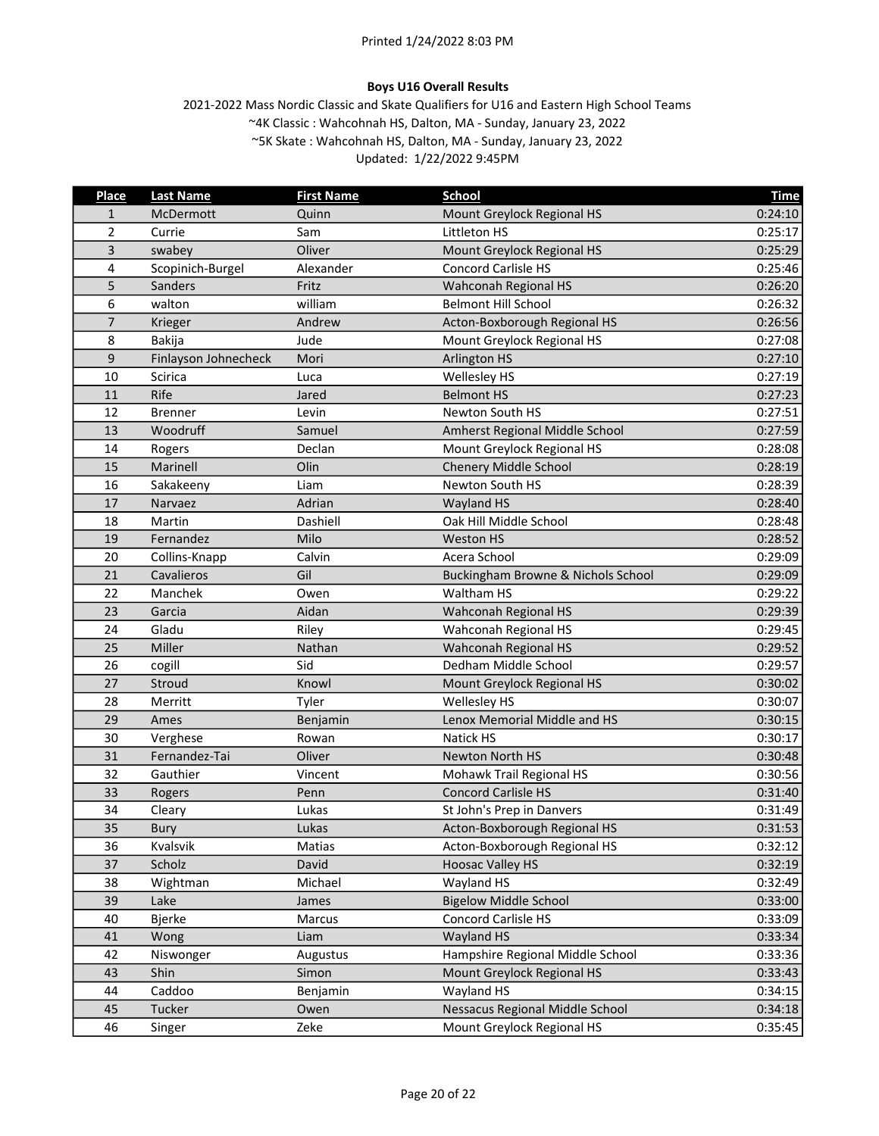# Boys U16 Overall Results

| <b>Place</b>   | <b>Last Name</b>     | <b>First Name</b> | <b>School</b>                      | <b>Time</b> |
|----------------|----------------------|-------------------|------------------------------------|-------------|
| 1              | McDermott            | Quinn             | Mount Greylock Regional HS         | 0:24:10     |
| $\overline{2}$ | Currie               | Sam               | Littleton HS                       | 0:25:17     |
| 3              | swabey               | Oliver            | Mount Greylock Regional HS         | 0:25:29     |
| 4              | Scopinich-Burgel     | Alexander         | <b>Concord Carlisle HS</b>         | 0:25:46     |
| 5              | Sanders              | Fritz             | Wahconah Regional HS               | 0:26:20     |
| 6              | walton               | william           | <b>Belmont Hill School</b>         | 0:26:32     |
| $\overline{7}$ | Krieger              | Andrew            | Acton-Boxborough Regional HS       | 0:26:56     |
| 8              | Bakija               | Jude              | Mount Greylock Regional HS         | 0:27:08     |
| 9              | Finlayson Johnecheck | Mori              | <b>Arlington HS</b>                | 0:27:10     |
| 10             | Scirica              | Luca              | Wellesley HS                       | 0:27:19     |
| 11             | Rife                 | Jared             | <b>Belmont HS</b>                  | 0:27:23     |
| 12             | <b>Brenner</b>       | Levin             | Newton South HS                    | 0:27:51     |
| 13             | Woodruff             | Samuel            | Amherst Regional Middle School     | 0:27:59     |
| 14             | Rogers               | Declan            | Mount Greylock Regional HS         | 0:28:08     |
| 15             | Marinell             | Olin              | <b>Chenery Middle School</b>       | 0:28:19     |
| 16             | Sakakeeny            | Liam              | Newton South HS                    | 0:28:39     |
| 17             | Narvaez              | Adrian            | <b>Wayland HS</b>                  | 0:28:40     |
| 18             | Martin               | Dashiell          | Oak Hill Middle School             | 0:28:48     |
| 19             | Fernandez            | Milo              | <b>Weston HS</b>                   | 0:28:52     |
| 20             | Collins-Knapp        | Calvin            | Acera School                       | 0:29:09     |
| 21             | Cavalieros           | Gil               | Buckingham Browne & Nichols School | 0:29:09     |
| 22             | Manchek              | Owen              | Waltham HS                         | 0:29:22     |
| 23             | Garcia               | Aidan             | Wahconah Regional HS               | 0:29:39     |
| 24             | Gladu                | Riley             | Wahconah Regional HS               | 0:29:45     |
| 25             | Miller               | Nathan            | Wahconah Regional HS               | 0:29:52     |
| 26             | cogill               | Sid               | Dedham Middle School               | 0:29:57     |
| 27             | Stroud               | Knowl             | Mount Greylock Regional HS         | 0:30:02     |
| 28             | Merritt              | Tyler             | Wellesley HS                       | 0:30:07     |
| 29             | Ames                 | Benjamin          | Lenox Memorial Middle and HS       | 0:30:15     |
| 30             | Verghese             | Rowan             | Natick HS                          | 0:30:17     |
| 31             | Fernandez-Tai        | Oliver            | Newton North HS                    | 0:30:48     |
| 32             | Gauthier             | Vincent           | Mohawk Trail Regional HS           | 0:30:56     |
| 33             | Rogers               | Penn              | <b>Concord Carlisle HS</b>         | 0:31:40     |
| 34             | Cleary               | Lukas             | St John's Prep in Danvers          | 0:31:49     |
| 35             | Bury                 | Lukas             | Acton-Boxborough Regional HS       | 0:31:53     |
| 36             | Kvalsvik             | Matias            | Acton-Boxborough Regional HS       | 0:32:12     |
| 37             | Scholz               | David             | <b>Hoosac Valley HS</b>            | 0:32:19     |
| 38             | Wightman             | Michael           | Wayland HS                         | 0:32:49     |
| 39             | Lake                 | James             | <b>Bigelow Middle School</b>       | 0:33:00     |
| 40             | <b>Bjerke</b>        | Marcus            | Concord Carlisle HS                | 0:33:09     |
| 41             | Wong                 | Liam              | Wayland HS                         | 0:33:34     |
| 42             | Niswonger            | Augustus          | Hampshire Regional Middle School   | 0:33:36     |
| 43             | Shin                 | Simon             | Mount Greylock Regional HS         | 0:33:43     |
| 44             | Caddoo               | Benjamin          | Wayland HS                         | 0:34:15     |
| 45             | Tucker               | Owen              | Nessacus Regional Middle School    | 0:34:18     |
| 46             | Singer               | Zeke              | Mount Greylock Regional HS         | 0:35:45     |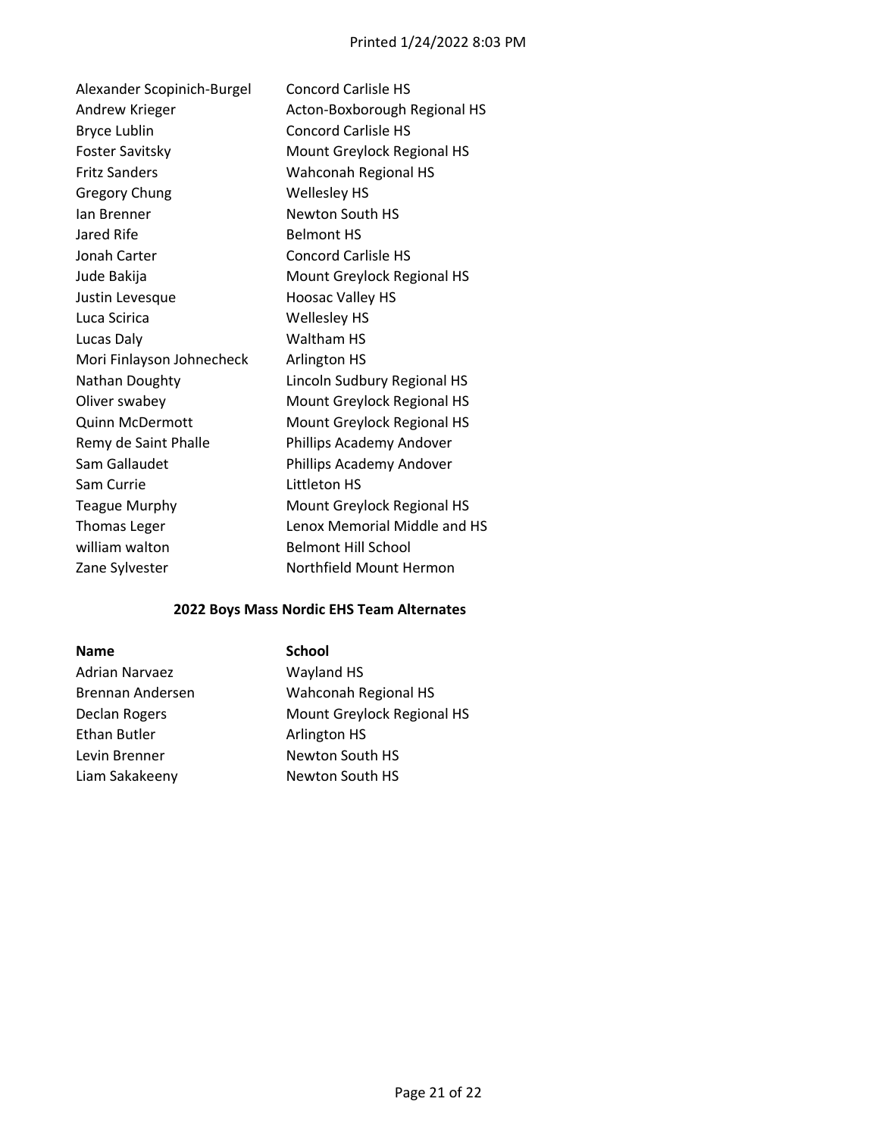| Alexander Scopinich-Burgel | <b>Concord Carlisle HS</b>   |
|----------------------------|------------------------------|
| Andrew Krieger             | Acton-Boxborough Regional HS |
| Bryce Lublin               | <b>Concord Carlisle HS</b>   |
| <b>Foster Savitsky</b>     | Mount Greylock Regional HS   |
| <b>Fritz Sanders</b>       | Wahconah Regional HS         |
| <b>Gregory Chung</b>       | Wellesley HS                 |
| lan Brenner                | Newton South HS              |
| Jared Rife                 | <b>Belmont HS</b>            |
| Jonah Carter               | <b>Concord Carlisle HS</b>   |
| Jude Bakija                | Mount Greylock Regional HS   |
| Justin Levesque            | <b>Hoosac Valley HS</b>      |
| Luca Scirica               | <b>Wellesley HS</b>          |
| Lucas Daly                 | Waltham HS                   |
| Mori Finlayson Johnecheck  | Arlington HS                 |
| Nathan Doughty             | Lincoln Sudbury Regional HS  |
| Oliver swabey              | Mount Greylock Regional HS   |
| <b>Quinn McDermott</b>     | Mount Greylock Regional HS   |
| Remy de Saint Phalle       | Phillips Academy Andover     |
| Sam Gallaudet              | Phillips Academy Andover     |
| Sam Currie                 | Littleton HS                 |
| <b>Teague Murphy</b>       | Mount Greylock Regional HS   |
| <b>Thomas Leger</b>        | Lenox Memorial Middle and HS |
| william walton             | <b>Belmont Hill School</b>   |
| Zane Sylvester             | Northfield Mount Hermon      |
|                            |                              |

# 2022 Boys Mass Nordic EHS Team Alternates

| <b>Name</b>           | <b>School</b>      |
|-----------------------|--------------------|
| <b>Adrian Narvaez</b> | Wayland HS         |
| Brennan Andersen      | Wahconah R         |
| Declan Rogers         | Mount Greyl        |
| Ethan Butler          | Arlington HS       |
| Levin Brenner         | <b>Newton Sout</b> |
| Liam Sakakeeny        | <b>Newton Sout</b> |

| Adrian Narvaez   | Wayland HS                 |
|------------------|----------------------------|
| Brennan Andersen | Wahconah Regional HS       |
| Declan Rogers    | Mount Greylock Regional HS |
| Ethan Butler     | Arlington HS               |
| Levin Brenner    | Newton South HS            |
| Liam Sakakeeny   | Newton South HS            |